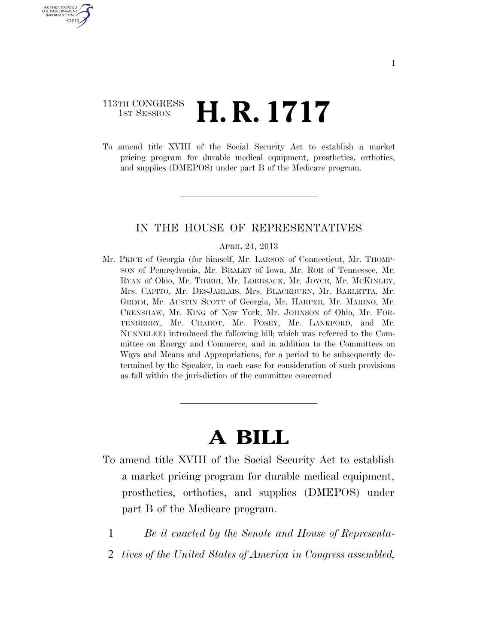# 113TH CONGRESS  $\frac{1}{1}$ st Session **H. R. 1717**

U.S. GOVERNMENT GPO

> To amend title XVIII of the Social Security Act to establish a market pricing program for durable medical equipment, prosthetics, orthotics, and supplies (DMEPOS) under part B of the Medicare program.

## IN THE HOUSE OF REPRESENTATIVES

#### APRIL 24, 2013

Mr. PRICE of Georgia (for himself, Mr. LARSON of Connecticut, Mr. THOMP-SON of Pennsylvania, Mr. BRALEY of Iowa, Mr. ROE of Tennessee, Mr. RYAN of Ohio, Mr. TIBERI, Mr. LOEBSACK, Mr. JOYCE, Mr. MCKINLEY, Mrs. CAPITO, Mr. DESJARLAIS, Mrs. BLACKBURN, Mr. BARLETTA, Mr. GRIMM, Mr. AUSTIN SCOTT of Georgia, Mr. HARPER, Mr. MARINO, Mr. CRENSHAW, Mr. KING of New York, Mr. JOHNSON of Ohio, Mr. FOR-TENBERRY, Mr. CHABOT, Mr. POSEY, Mr. LANKFORD, and Mr. NUNNELEE) introduced the following bill; which was referred to the Committee on Energy and Commerce, and in addition to the Committees on Ways and Means and Appropriations, for a period to be subsequently determined by the Speaker, in each case for consideration of such provisions as fall within the jurisdiction of the committee concerned

# **A BILL**

- To amend title XVIII of the Social Security Act to establish a market pricing program for durable medical equipment, prosthetics, orthotics, and supplies (DMEPOS) under part B of the Medicare program.
	- 1 *Be it enacted by the Senate and House of Representa-*
	- 2 *tives of the United States of America in Congress assembled,*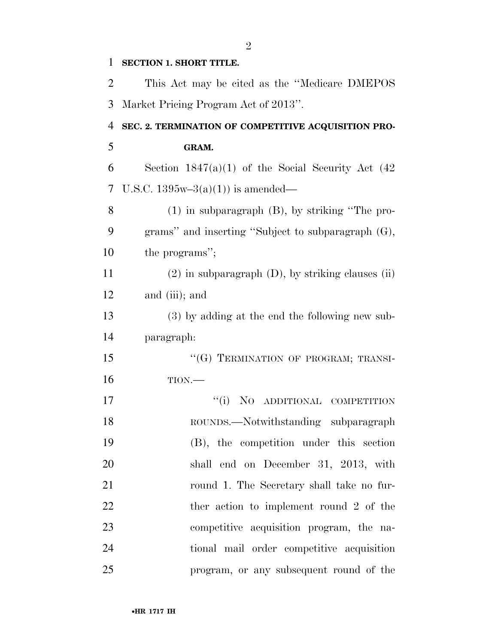| 1              | <b>SECTION 1. SHORT TITLE.</b>                           |
|----------------|----------------------------------------------------------|
| $\overline{2}$ | This Act may be cited as the "Medicare DMEPOS"           |
| 3              | Market Pricing Program Act of 2013".                     |
| $\overline{4}$ | SEC. 2. TERMINATION OF COMPETITIVE ACQUISITION PRO-      |
| 5              | GRAM.                                                    |
| 6              | Section $1847(a)(1)$ of the Social Security Act $(42)$   |
| 7              | U.S.C. $1395w-3(a)(1)$ is amended—                       |
| 8              | $(1)$ in subparagraph $(B)$ , by striking "The pro-      |
| 9              | grams" and inserting "Subject to subparagraph (G),       |
| 10             | the programs";                                           |
| 11             | $(2)$ in subparagraph $(D)$ , by striking clauses $(ii)$ |
| 12             | and (iii); and                                           |
| 13             | (3) by adding at the end the following new sub-          |
| 14             | paragraph:                                               |
| 15             | "(G) TERMINATION OF PROGRAM; TRANSI-                     |
| 16             | TION.                                                    |
| 17             | ``(i)<br>NO ADDITIONAL COMPETITION                       |
| 18             | ROUNDS.—Notwithstanding subparagraph                     |
| 19             | (B), the competition under this section                  |
| 20             | shall end on December 31, 2013, with                     |
| 21             | round 1. The Secretary shall take no fur-                |
| 22             | ther action to implement round 2 of the                  |
| 23             | competitive acquisition program, the na-                 |
| 24             | tional mail order competitive acquisition                |
| 25             | program, or any subsequent round of the                  |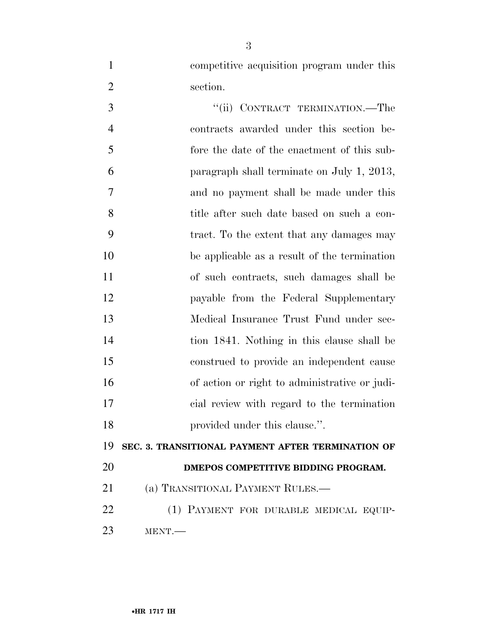competitive acquisition program under this 2 section.

3 "(ii) CONTRACT TERMINATION.—The contracts awarded under this section be- fore the date of the enactment of this sub- paragraph shall terminate on July 1, 2013, and no payment shall be made under this title after such date based on such a con- tract. To the extent that any damages may be applicable as a result of the termination of such contracts, such damages shall be payable from the Federal Supplementary Medical Insurance Trust Fund under sec- tion 1841. Nothing in this clause shall be construed to provide an independent cause of action or right to administrative or judi- cial review with regard to the termination **provided under this clause.**".

**SEC. 3. TRANSITIONAL PAYMENT AFTER TERMINATION OF** 

**DMEPOS COMPETITIVE BIDDING PROGRAM.** 

21 (a) TRANSITIONAL PAYMENT RULES.—

 (1) PAYMENT FOR DURABLE MEDICAL EQUIP-MENT.—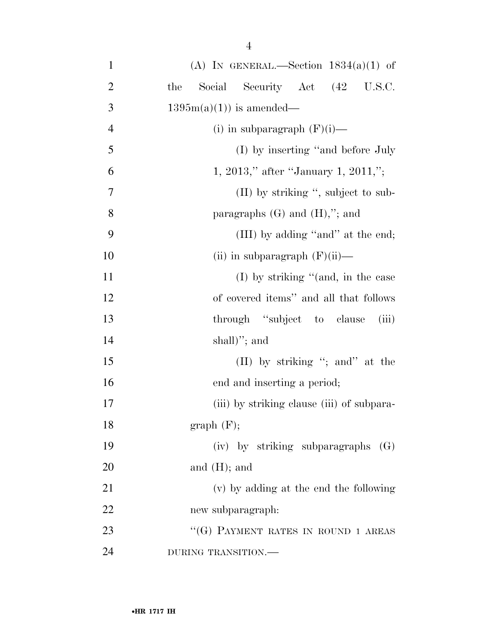| $\mathbf{1}$   | (A) IN GENERAL.—Section $1834(a)(1)$ of    |
|----------------|--------------------------------------------|
| $\overline{2}$ | Social Security Act (42 U.S.C.<br>the      |
| 3              | $1395m(a)(1)$ is amended—                  |
| $\overline{4}$ | (i) in subparagraph $(F)(i)$ —             |
| 5              | (I) by inserting "and before July          |
| 6              | 1, 2013," after "January 1, 2011,";        |
| 7              | $(II)$ by striking ", subject to sub-      |
| 8              | paragraphs $(G)$ and $(H)$ ,"; and         |
| 9              | (III) by adding "and" at the end;          |
| 10             | (ii) in subparagraph $(F)(ii)$ —           |
| 11             | $(I)$ by striking "(and, in the case       |
| 12             | of covered items" and all that follows     |
| 13             | through "subject to clause<br>(iii)        |
| 14             | $shall)$ "; and                            |
| 15             | (II) by striking "; and" at the            |
| 16             | end and inserting a period;                |
| $17\,$         | (iii) by striking clause (iii) of subpara- |
| 18             | graph(F);                                  |
| 19             | (iv) by striking subparagraphs<br>(G)      |
| 20             | and $(H)$ ; and                            |
| 21             | (v) by adding at the end the following     |
| 22             | new subparagraph:                          |
| 23             | "(G) PAYMENT RATES IN ROUND 1 AREAS        |
| 24             | DURING TRANSITION.-                        |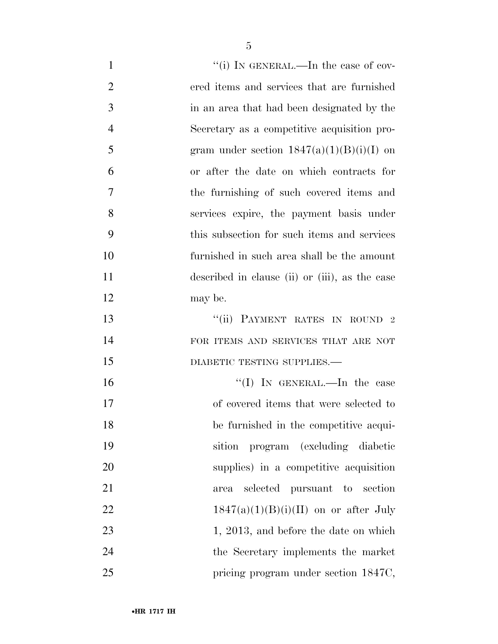| $\mathbf{1}$   | "(i) IN GENERAL.—In the case of cov-           |
|----------------|------------------------------------------------|
| $\overline{2}$ | ered items and services that are furnished     |
| 3              | in an area that had been designated by the     |
| $\overline{4}$ | Secretary as a competitive acquisition pro-    |
| 5              | gram under section $1847(a)(1)(B)(i)(I)$ on    |
| 6              | or after the date on which contracts for       |
| 7              | the furnishing of such covered items and       |
| 8              | services expire, the payment basis under       |
| 9              | this subsection for such items and services    |
| 10             | furnished in such area shall be the amount     |
| 11             | described in clause (ii) or (iii), as the case |
| 12             | may be.                                        |
| 13             | "(ii) PAYMENT RATES IN ROUND 2                 |
| 14             | FOR ITEMS AND SERVICES THAT ARE NOT            |
| 15             | DIABETIC TESTING SUPPLIES.                     |
| 16             | "(I) IN GENERAL.—In the case                   |
| 17             | of covered items that were selected to         |
| 18             | be furnished in the competitive acqui-         |
| 19             | program (excluding diabetic<br>sition          |
| 20             | supplies) in a competitive acquisition         |
| 21             | selected pursuant to section<br>area           |
| 22             | $1847(a)(1)(B)(i)(II)$ on or after July        |
| 23             | 1, 2013, and before the date on which          |
| 24             | the Secretary implements the market            |
| 25             | pricing program under section 1847C,           |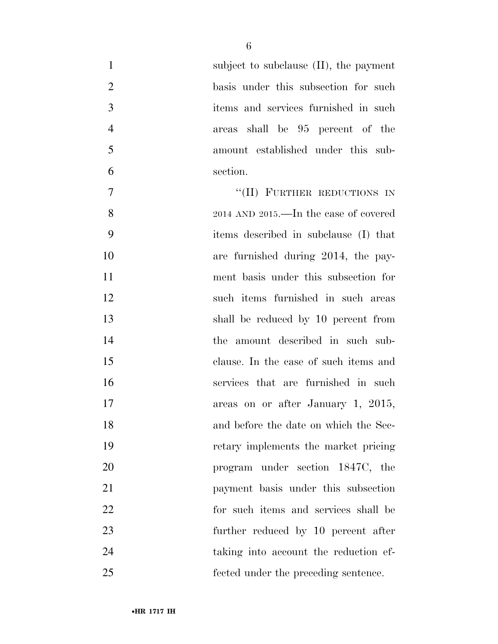| $\mathbf{1}$   | subject to subclause $(II)$ , the payment |
|----------------|-------------------------------------------|
| $\overline{2}$ | basis under this subsection for such      |
| 3              | items and services furnished in such      |
| $\overline{4}$ | areas shall be 95 percent of the          |
| 5              | amount established under this sub-        |
| 6              | section.                                  |
| $\tau$         | "(II) FURTHER REDUCTIONS IN               |
| 8              | 2014 AND 2015.—In the case of covered     |
| 9              | items described in subclause (I) that     |
| 10             | are furnished during 2014, the pay-       |
| 11             | ment basis under this subsection for      |
| 12             | such items furnished in such areas        |
| 13             | shall be reduced by 10 percent from       |
| 14             | the amount described in such sub-         |
| 15             | clause. In the case of such items and     |
| 16             | services that are furnished in such       |
| 17             | areas on or after January 1, 2015,        |
| 18             | and before the date on which the Sec-     |
| 19             | retary implements the market pricing      |
| 20             | program under section 1847C, the          |
| 21             | payment basis under this subsection       |
| 22             | for such items and services shall be      |
| 23             | further reduced by 10 percent after       |
| 24             | taking into account the reduction ef-     |
| 25             | fected under the preceding sentence.      |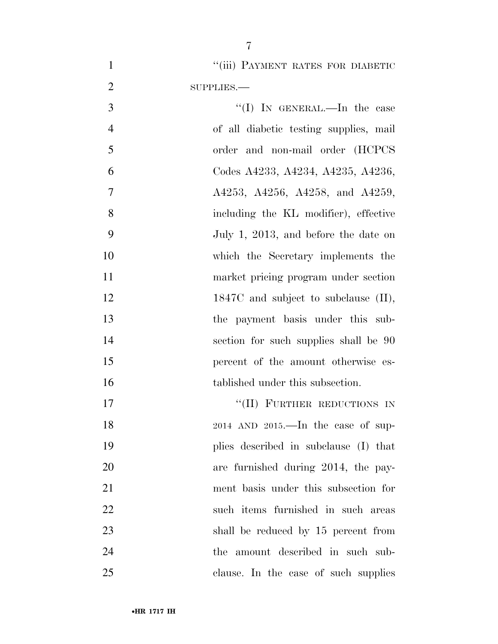1 "(iii) PAYMENT RATES FOR DIABETIC SUPPLIES.—

3 "(I) In GENERAL.—In the case of all diabetic testing supplies, mail order and non-mail order (HCPCS Codes A4233, A4234, A4235, A4236, 7 A4253, A4256, A4258, and A4259, including the KL modifier), effective July 1, 2013, and before the date on which the Secretary implements the market pricing program under section 12 1847C and subject to subclause (II), the payment basis under this sub- section for such supplies shall be 90 percent of the amount otherwise es-16 tablished under this subsection. 17 "(II) FURTHER REDUCTIONS IN 2014 AND 2015.—In the case of sup- plies described in subclause (I) that are furnished during 2014, the pay- ment basis under this subsection for such items furnished in such areas

23 shall be reduced by 15 percent from

clause. In the case of such supplies

24 the amount described in such sub-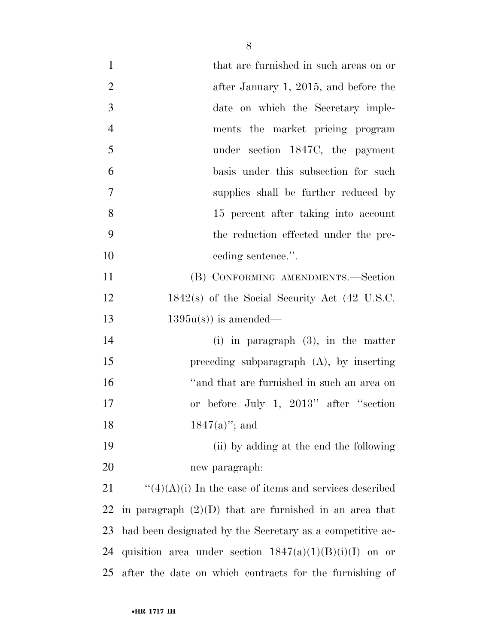| $\mathbf{1}$   | that are furnished in such areas on or                    |
|----------------|-----------------------------------------------------------|
| $\overline{2}$ | after January 1, 2015, and before the                     |
| 3              | date on which the Secretary imple-                        |
| $\overline{4}$ | ments the market pricing program                          |
| 5              | under section 1847C, the payment                          |
| 6              | basis under this subsection for such                      |
| $\tau$         | supplies shall be further reduced by                      |
| 8              | 15 percent after taking into account                      |
| 9              | the reduction effected under the pre-                     |
| 10             | ceding sentence.".                                        |
| 11             | (B) CONFORMING AMENDMENTS.—Section                        |
| 12             | $1842(s)$ of the Social Security Act (42 U.S.C.           |
| 13             | $1395u(s)$ is amended—                                    |
| 14             | (i) in paragraph $(3)$ , in the matter                    |
| 15             | preceding subparagraph $(A)$ , by inserting               |
| 16             | "and that are furnished in such an area on                |
| 17             | or before July 1, 2013" after "section"                   |
| 18             | $1847(a)$ "; and                                          |
| 19             | (ii) by adding at the end the following                   |
| 20             | new paragraph:                                            |
| 21             | " $(4)(A)(i)$ In the case of items and services described |
| 22             | in paragraph $(2)(D)$ that are furnished in an area that  |
| 23             | had been designated by the Secretary as a competitive ac- |
| 24             | quisition area under section $1847(a)(1)(B)(i)(I)$ on or  |
| 25             | after the date on which contracts for the furnishing of   |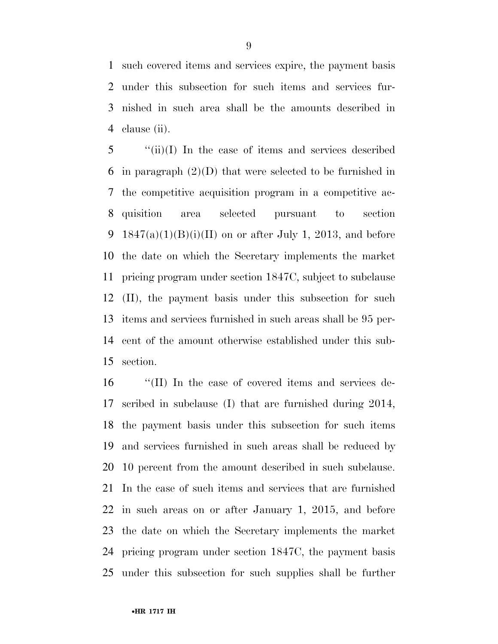such covered items and services expire, the payment basis under this subsection for such items and services fur- nished in such area shall be the amounts described in clause (ii).

 ''(ii)(I) In the case of items and services described in paragraph (2)(D) that were selected to be furnished in the competitive acquisition program in a competitive ac- quisition area selected pursuant to section 9 1847(a)(1)(B)(i)(II) on or after July 1, 2013, and before the date on which the Secretary implements the market pricing program under section 1847C, subject to subclause (II), the payment basis under this subsection for such items and services furnished in such areas shall be 95 per- cent of the amount otherwise established under this sub-section.

 ''(II) In the case of covered items and services de- scribed in subclause (I) that are furnished during 2014, the payment basis under this subsection for such items and services furnished in such areas shall be reduced by 10 percent from the amount described in such subclause. In the case of such items and services that are furnished in such areas on or after January 1, 2015, and before the date on which the Secretary implements the market pricing program under section 1847C, the payment basis under this subsection for such supplies shall be further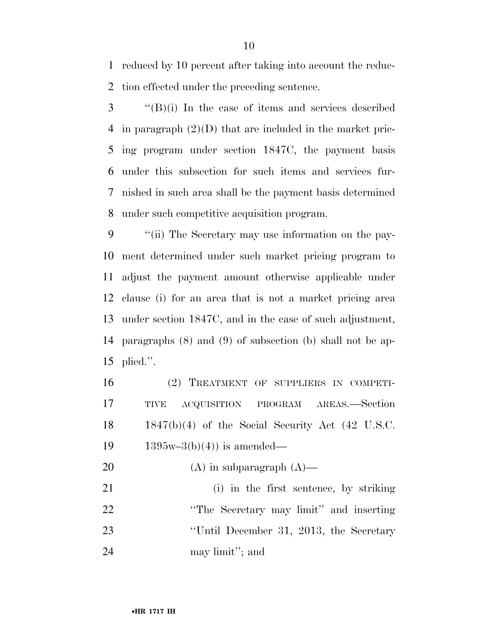reduced by 10 percent after taking into account the reduc-tion effected under the preceding sentence.

 ''(B)(i) In the case of items and services described in paragraph (2)(D) that are included in the market pric- ing program under section 1847C, the payment basis under this subsection for such items and services fur- nished in such area shall be the payment basis determined under such competitive acquisition program.

 ''(ii) The Secretary may use information on the pay- ment determined under such market pricing program to adjust the payment amount otherwise applicable under clause (i) for an area that is not a market pricing area under section 1847C, and in the case of such adjustment, paragraphs (8) and (9) of subsection (b) shall not be ap-plied.''.

 (2) TREATMENT OF SUPPLIERS IN COMPETI- TIVE ACQUISITION PROGRAM AREAS.—Section 1847(b)(4) of the Social Security Act (42 U.S.C.  $1395w-3(b)(4)$  is amended—

20  $(A)$  in subparagraph  $(A)$ —

 (i) in the first sentence, by striking ''The Secretary may limit'' and inserting ''Until December 31, 2013, the Secretary may limit''; and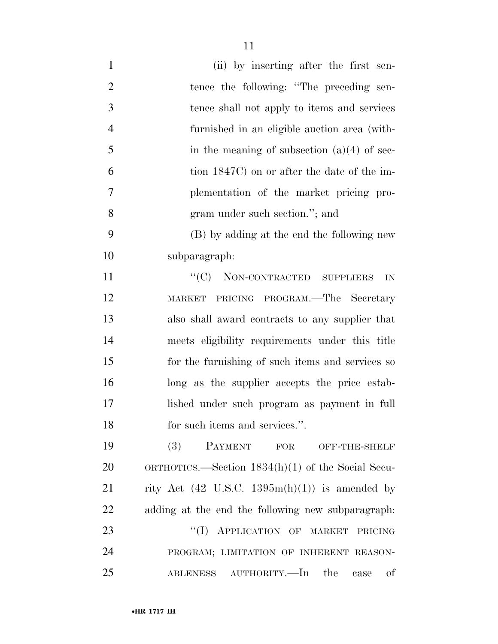| $\mathbf{1}$   | (ii) by inserting after the first sen-                           |
|----------------|------------------------------------------------------------------|
| $\overline{2}$ | tence the following: "The preceding sen-                         |
| 3              | tence shall not apply to items and services                      |
| $\overline{4}$ | furnished in an eligible auction area (with-                     |
| 5              | in the meaning of subsection $(a)(4)$ of sec-                    |
| 6              | tion 1847C) on or after the date of the im-                      |
| 7              | plementation of the market pricing pro-                          |
| 8              | gram under such section."; and                                   |
| 9              | (B) by adding at the end the following new                       |
| 10             | subparagraph:                                                    |
| 11             | "(C) NON-CONTRACTED SUPPLIERS<br>IN                              |
| 12             | MARKET PRICING PROGRAM.—The Secretary                            |
| 13             | also shall award contracts to any supplier that                  |
| 14             | meets eligibility requirements under this title                  |
| 15             | for the furnishing of such items and services so                 |
| 16             | long as the supplier accepts the price estab-                    |
| 17             | lished under such program as payment in full                     |
| 18             | for such items and services.".                                   |
| 19             | (3)<br>PAYMENT FOR<br>OFF-THE-SHELF                              |
| 20             | ORTHOTICS.—Section $1834(h)(1)$ of the Social Secu-              |
| 21             | rity Act $(42 \text{ U.S.C. } 1395\text{m(h)}(1))$ is amended by |
| 22             | adding at the end the following new subparagraph.                |
| 23             | "(I) APPLICATION OF MARKET<br>PRICING                            |
| 24             | PROGRAM; LIMITATION OF INHERENT REASON-                          |
| 25             | of<br>ABLENESS AUTHORITY.—In<br>the<br>case                      |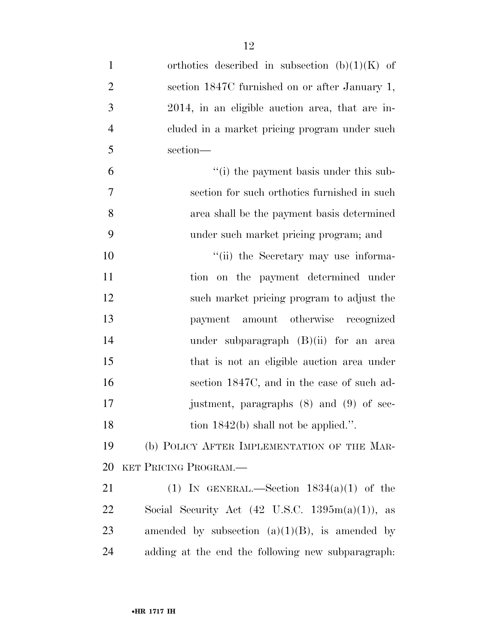| $\mathbf{1}$   | orthotics described in subsection $(b)(1)(K)$ of              |
|----------------|---------------------------------------------------------------|
| $\overline{2}$ | section 1847C furnished on or after January 1,                |
| 3              | 2014, in an eligible auction area, that are in-               |
| $\overline{4}$ | cluded in a market pricing program under such                 |
| 5              | section-                                                      |
| 6              | "(i) the payment basis under this sub-                        |
| 7              | section for such orthotics furnished in such                  |
| 8              | area shall be the payment basis determined                    |
| 9              | under such market pricing program; and                        |
| 10             | "(ii) the Secretary may use informa-                          |
| 11             | tion on the payment determined under                          |
| 12             | such market pricing program to adjust the                     |
| 13             | payment amount otherwise recognized                           |
| 14             | under subparagraph $(B)(ii)$ for an area                      |
| 15             | that is not an eligible auction area under                    |
| 16             | section 1847C, and in the case of such ad-                    |
| 17             | justment, paragraphs (8) and (9) of sec-                      |
| 18             | tion $1842(b)$ shall not be applied.".                        |
| 19             | (b) POLICY AFTER IMPLEMENTATION OF THE MAR-                   |
| 20             | KET PRICING PROGRAM.                                          |
| 21             | (1) IN GENERAL.—Section $1834(a)(1)$ of the                   |
| 22             | Social Security Act $(42 \text{ U.S.C. } 1395m(a)(1)),$<br>as |
| 23             | amended by subsection $(a)(1)(B)$ , is amended by             |
| 24             | adding at the end the following new subparagraph.             |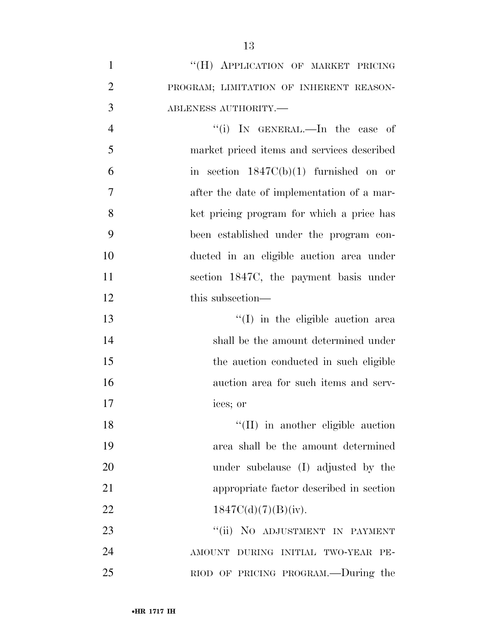| "(H) APPLICATION OF MARKET PRICING      |
|-----------------------------------------|
| PROGRAM; LIMITATION OF INHERENT REASON- |
| ABLENESS AUTHORITY.—                    |

4 "(i) In GENERAL.—In the case of market priced items and services described in section  $1847C(b)(1)$  furnished on or after the date of implementation of a mar- ket pricing program for which a price has been established under the program con- ducted in an eligible auction area under section 1847C, the payment basis under 12 this subsection—

13 ''(I) in the eligible auction area shall be the amount determined under the auction conducted in such eligible auction area for such items and serv-ices; or

18 ''(II) in another eligible auction area shall be the amount determined under subclause (I) adjusted by the appropriate factor described in section  $1847C(d)(7)(B)(iv).$ 

23 "(ii) NO ADJUSTMENT IN PAYMENT AMOUNT DURING INITIAL TWO-YEAR PE-RIOD OF PRICING PROGRAM.—During the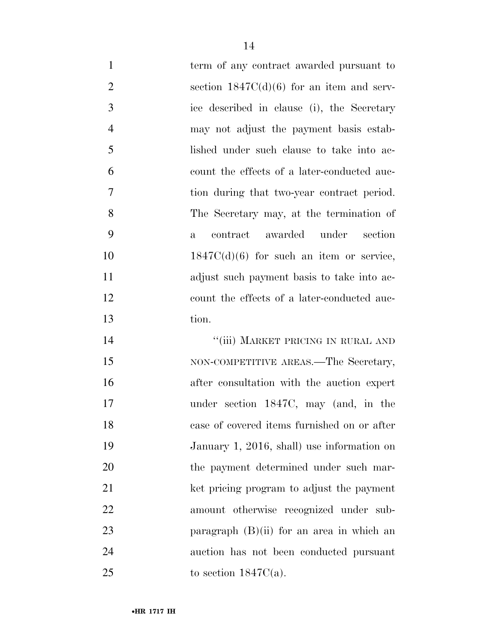1 term of any contract awarded pursuant to 2 section  $1847C(d)(6)$  for an item and serv- ice described in clause (i), the Secretary may not adjust the payment basis estab- lished under such clause to take into ac- count the effects of a later-conducted auc- tion during that two-year contract period. The Secretary may, at the termination of a contract awarded under section  $1847C(d)(6)$  for such an item or service, adjust such payment basis to take into ac- count the effects of a later-conducted auc-tion.

14 ''(iii) MARKET PRICING IN RURAL AND 15 NON-COMPETITIVE AREAS.—The Secretary, after consultation with the auction expert under section 1847C, may (and, in the case of covered items furnished on or after January 1, 2016, shall) use information on the payment determined under such mar- ket pricing program to adjust the payment amount otherwise recognized under sub-23 paragraph (B)(ii) for an area in which an auction has not been conducted pursuant 25 to section  $1847C(a)$ .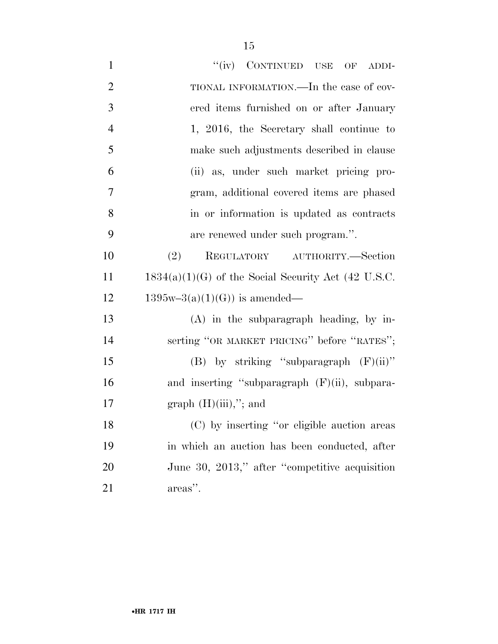| $\mathbf{1}$   | "(iv) CONTINUED USE OF ADDI-                          |
|----------------|-------------------------------------------------------|
| $\overline{2}$ | TIONAL INFORMATION.—In the case of cov-               |
| 3              | ered items furnished on or after January              |
| $\overline{4}$ | 1, 2016, the Secretary shall continue to              |
| 5              | make such adjustments described in clause             |
| 6              | (ii) as, under such market pricing pro-               |
| 7              | gram, additional covered items are phased             |
| 8              | in or information is updated as contracts             |
| 9              | are renewed under such program.".                     |
| 10             | REGULATORY AUTHORITY.-Section<br>(2)                  |
| 11             | $1834(a)(1)(G)$ of the Social Security Act (42 U.S.C. |
| 12             | $1395w-3(a)(1)(G)$ is amended—                        |
| 13             | (A) in the subparagraph heading, by in-               |
| 14             | serting "OR MARKET PRICING" before "RATES";           |
| 15             | (B) by striking "subparagraph $(F)(ii)$ "             |
| 16             | and inserting "subparagraph $(F)(ii)$ , subpara-      |
| 17             | graph $(H)(iii)$ ,"; and                              |
| 18             | (C) by inserting "or eligible auction areas           |
| 19             | in which an auction has been conducted, after         |
| 20             | June 30, 2013," after "competitive acquisition        |
| 21             | areas".                                               |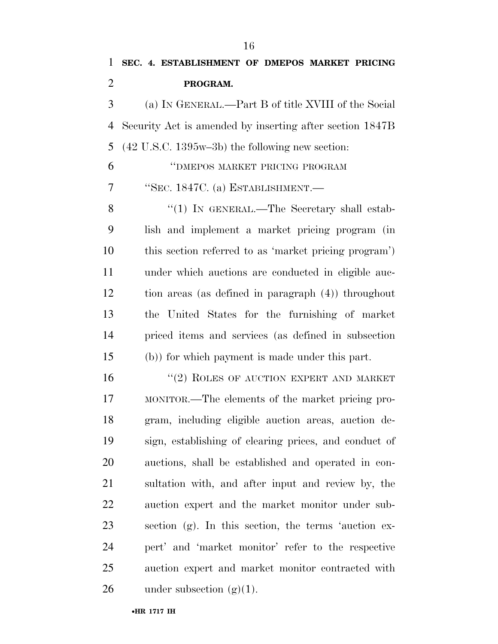**PROGRAM.**  (a) IN GENERAL.—Part B of title XVIII of the Social Security Act is amended by inserting after section 1847B (42 U.S.C. 1395w–3b) the following new section: ''DMEPOS MARKET PRICING PROGRAM ''SEC. 1847C. (a) ESTABLISHMENT.— 8 "(1) IN GENERAL.—The Secretary shall estab- lish and implement a market pricing program (in this section referred to as 'market pricing program') under which auctions are conducted in eligible auc- tion areas (as defined in paragraph (4)) throughout the United States for the furnishing of market priced items and services (as defined in subsection (b)) for which payment is made under this part. 16 "(2) ROLES OF AUCTION EXPERT AND MARKET

 MONITOR.—The elements of the market pricing pro- gram, including eligible auction areas, auction de- sign, establishing of clearing prices, and conduct of auctions, shall be established and operated in con- sultation with, and after input and review by, the auction expert and the market monitor under sub- section (g). In this section, the terms 'auction ex- pert' and 'market monitor' refer to the respective auction expert and market monitor contracted with 26 under subsection  $(g)(1)$ .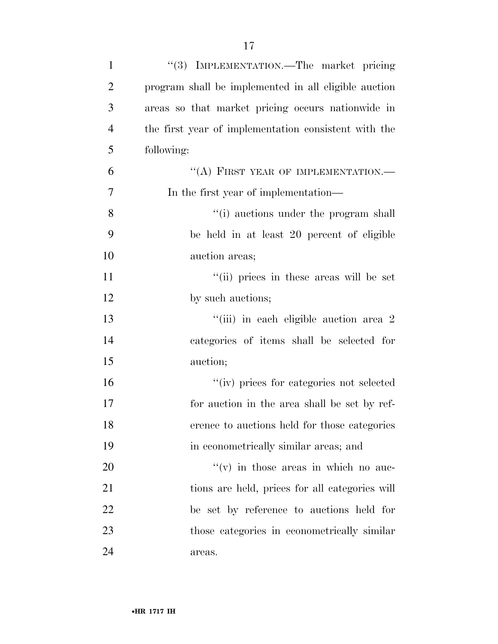| $\mathbf{1}$   | "(3) IMPLEMENTATION.—The market pricing              |
|----------------|------------------------------------------------------|
| $\overline{2}$ | program shall be implemented in all eligible auction |
| 3              | areas so that market pricing occurs nationwide in    |
| $\overline{4}$ | the first year of implementation consistent with the |
| 5              | following:                                           |
| 6              | "(A) FIRST YEAR OF IMPLEMENTATION.-                  |
| $\overline{7}$ | In the first year of implementation—                 |
| 8              | "(i) auctions under the program shall                |
| 9              | be held in at least 20 percent of eligible           |
| 10             | auction areas;                                       |
| 11             | "(ii) prices in these areas will be set              |
| 12             | by such auctions;                                    |
| 13             | "(iii) in each eligible auction area 2               |
| 14             | categories of items shall be selected for            |
| 15             | auction;                                             |
| 16             | "(iv) prices for categories not selected             |
| 17             | for auction in the area shall be set by ref-         |
| 18             | erence to auctions held for those categories         |
| 19             | in econometrically similar areas; and                |
| 20             | $f'(v)$ in those areas in which no auc-              |
| 21             | tions are held, prices for all categories will       |
| 22             | be set by reference to auctions held for             |
| 23             | those categories in econometrically similar          |
| 24             | areas.                                               |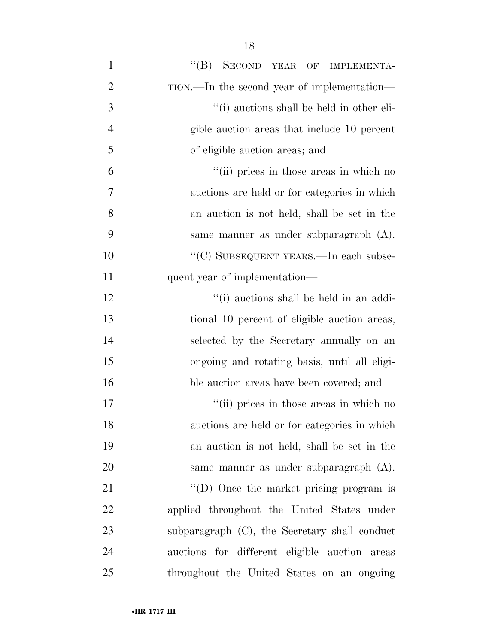| $\mathbf{1}$   | "(B) SECOND YEAR OF IMPLEMENTA-               |
|----------------|-----------------------------------------------|
| $\overline{2}$ | TION.—In the second year of implementation—   |
| 3              | "(i) auctions shall be held in other eli-     |
| $\overline{4}$ | gible auction areas that include 10 percent   |
| 5              | of eligible auction areas; and                |
| 6              | "(ii) prices in those areas in which no       |
| 7              | auctions are held or for categories in which  |
| 8              | an auction is not held, shall be set in the   |
| 9              | same manner as under subparagraph (A).        |
| 10             | "(C) SUBSEQUENT YEARS.—In each subse-         |
| 11             | quent year of implementation—                 |
| 12             | "(i) auctions shall be held in an addi-       |
| 13             | tional 10 percent of eligible auction areas,  |
| 14             | selected by the Secretary annually on an      |
| 15             | ongoing and rotating basis, until all eligi-  |
| 16             | ble auction areas have been covered; and      |
| 17             | "(ii) prices in those areas in which no       |
| 18             | auctions are held or for categories in which  |
| 19             | an auction is not held, shall be set in the   |
| 20             | same manner as under subparagraph (A).        |
| 21             | "(D) Once the market pricing program is       |
| 22             | applied throughout the United States under    |
| 23             | subparagraph (C), the Secretary shall conduct |
| 24             | auctions for different eligible auction areas |
| 25             | throughout the United States on an ongoing    |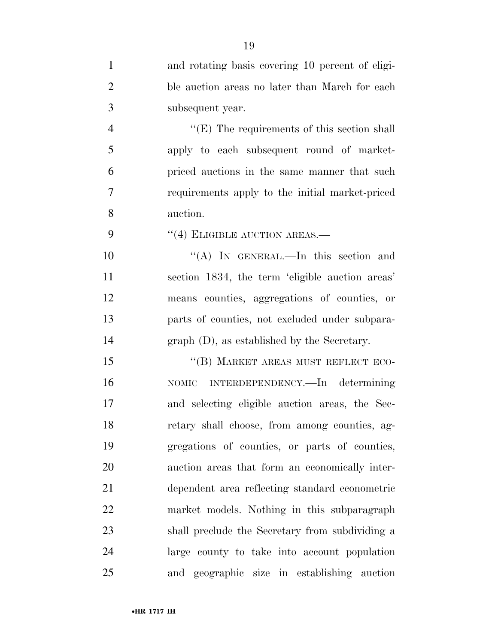| $\mathbf{1}$   | and rotating basis covering 10 percent of eligi-   |
|----------------|----------------------------------------------------|
| $\overline{2}$ | ble auction areas no later than March for each     |
| 3              | subsequent year.                                   |
| $\overline{4}$ | $\lq\lq(E)$ The requirements of this section shall |
| 5              | apply to each subsequent round of market-          |
| 6              | priced auctions in the same manner that such       |
| $\overline{7}$ | requirements apply to the initial market-priced    |
| 8              | auction.                                           |
| 9              | $(4)$ ELIGIBLE AUCTION AREAS.—                     |
| 10             | "(A) IN GENERAL.—In this section and               |
| 11             | section 1834, the term 'eligible auction areas'    |
| 12             | means counties, aggregations of counties, or       |
| 13             | parts of counties, not excluded under subpara-     |
| 14             | graph (D), as established by the Secretary.        |
| 15             | "(B) MARKET AREAS MUST REFLECT ECO-                |
| 16             | NOMIC INTERDEPENDENCY.—In determining              |
| 17             | and selecting eligible auction areas, the Sec-     |
| 18             | retary shall choose, from among counties, ag-      |
| 19             | gregations of counties, or parts of counties,      |
| 20             | auction areas that form an economically inter-     |
| 21             | dependent area reflecting standard econometric     |
| 22             | market models. Nothing in this subparagraph        |
| 23             | shall preclude the Secretary from subdividing a    |
| 24             | large county to take into account population       |
| 25             | and geographic size in establishing auction        |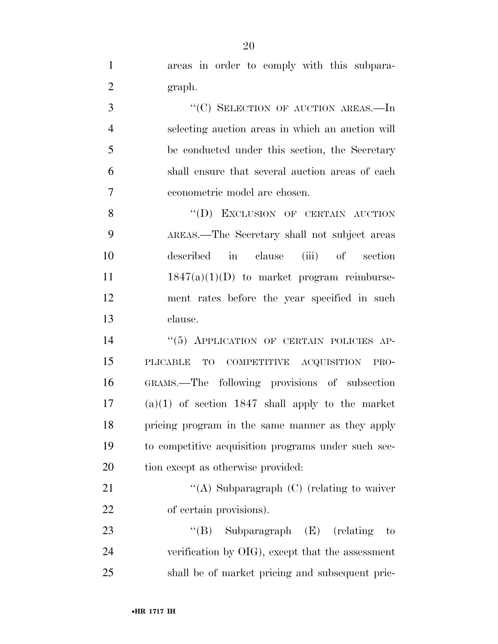| $\mathbf{1}$   | areas in order to comply with this subpara-         |
|----------------|-----------------------------------------------------|
| $\overline{2}$ | graph.                                              |
| 3              | "(C) SELECTION OF AUCTION AREAS.-In                 |
| $\overline{4}$ | selecting auction areas in which an auction will    |
| 5              | be conducted under this section, the Secretary      |
| 6              | shall ensure that several auction areas of each     |
| 7              | econometric model are chosen.                       |
| 8              | "(D) EXCLUSION OF CERTAIN AUCTION                   |
| 9              | AREAS.—The Secretary shall not subject areas        |
| 10             | described in clause (iii) of section                |
| 11             | $1847(a)(1)(D)$ to market program reimburse-        |
| 12             | ment rates before the year specified in such        |
| 13             | clause.                                             |
| 14             | "(5) APPLICATION OF CERTAIN POLICIES AP-            |
| 15             | COMPETITIVE ACQUISITION PRO-<br>PLICABLE TO         |
| 16             | GRAMS.—The following provisions of subsection       |
| 17             | $(a)(1)$ of section 1847 shall apply to the market  |
| 18             | pricing program in the same manner as they apply    |
| 19             | to competitive acquisition programs under such sec- |
| 20             | tion except as otherwise provided:                  |
| 21             | "(A) Subparagraph $(C)$ (relating to waiver         |
| 22             | of certain provisions).                             |
| 23             | "(B) Subparagraph $(E)$ (relating<br>to             |
| 24             | verification by OIG), except that the assessment    |
| 25             | shall be of market pricing and subsequent pric-     |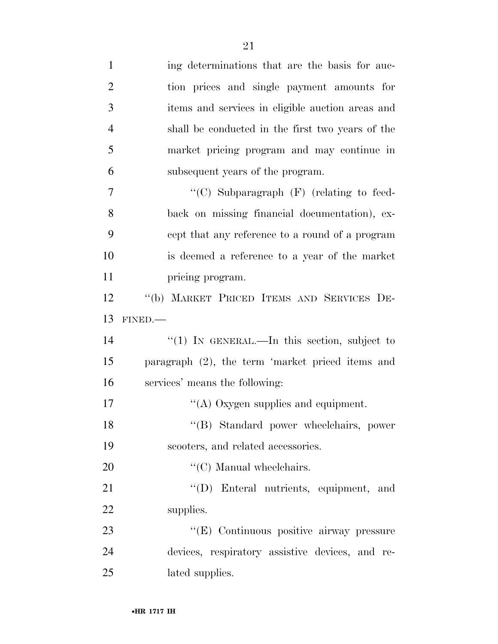| $\mathbf{1}$   | ing determinations that are the basis for auc-   |
|----------------|--------------------------------------------------|
| $\overline{2}$ | tion prices and single payment amounts for       |
| 3              | items and services in eligible auction areas and |
| $\overline{4}$ | shall be conducted in the first two years of the |
| 5              | market pricing program and may continue in       |
| 6              | subsequent years of the program.                 |
| 7              | "(C) Subparagraph $(F)$ (relating to feed-       |
| 8              | back on missing financial documentation), ex-    |
| 9              | cept that any reference to a round of a program  |
| 10             | is deemed a reference to a year of the market    |
| 11             | pricing program.                                 |
| 12             | "(b) MARKET PRICED ITEMS AND SERVICES DE-        |
| 13             | FINED.                                           |
| 14             | "(1) IN GENERAL.—In this section, subject to     |
| 15             | paragraph (2), the term 'market priced items and |
| 16             | services' means the following:                   |
| 17             | "(A) Oxygen supplies and equipment.              |
| 18             | "(B) Standard power wheelchairs, power           |
| 19             | scooters, and related accessories.               |
| 20             | $\lq\lq$ <sup>(C)</sup> Manual wheelchairs.      |
| 21             | "(D) Enteral nutrients, equipment, and           |
| 22             |                                                  |
|                | supplies.                                        |
| 23             | "(E) Continuous positive airway pressure         |
| 24             | devices, respiratory assistive devices, and re-  |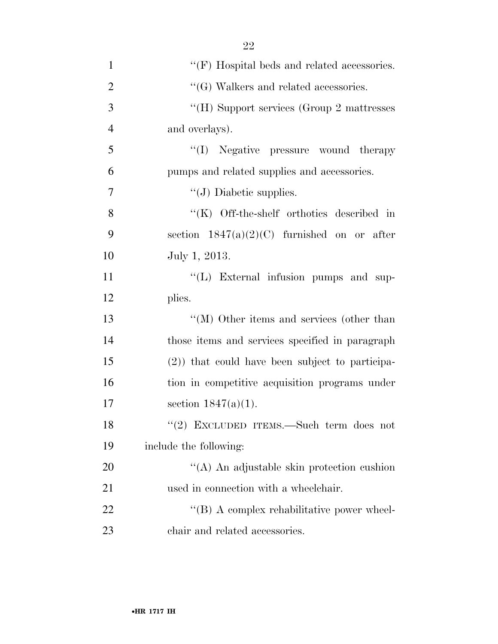| $\mathbf{1}$   | $\lq\lq(F)$ Hospital beds and related accessories. |
|----------------|----------------------------------------------------|
| $\overline{2}$ | $\lq\lq(G)$ Walkers and related accessories.       |
| 3              | "(H) Support services (Group 2 mattresses          |
| $\overline{4}$ | and overlays).                                     |
| 5              | "(I) Negative pressure wound therapy               |
| 6              | pumps and related supplies and accessories.        |
| 7              | $\lq\lq$ (J) Diabetic supplies.                    |
| 8              | $\lq\lq$ (K) Off-the-shelf orthotics described in  |
| 9              | section $1847(a)(2)(C)$ furnished on or after      |
| 10             | July 1, 2013.                                      |
| 11             | "(L) External infusion pumps and sup-              |
| 12             | plies.                                             |
| 13             | $\lq\lq (M)$ Other items and services (other than  |
| 14             | those items and services specified in paragraph    |
| 15             | $(2)$ ) that could have been subject to participa- |
| 16             | tion in competitive acquisition programs under     |
| 17             | section $1847(a)(1)$ .                             |
| 18             | "(2) EXCLUDED ITEMS.—Such term does not            |
| 19             | include the following:                             |
| 20             | "(A) An adjustable skin protection cushion         |
| 21             | used in connection with a wheelchair.              |
| 22             | $\lq\lq (B)$ A complex rehabilitative power wheel- |
| 23             | chair and related accessories.                     |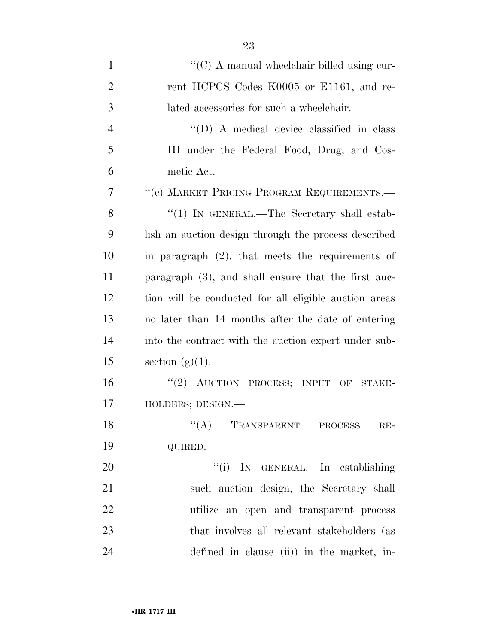| $\mathbf{1}$   | $\lq\lq$ C) A manual wheelchair billed using cur-      |
|----------------|--------------------------------------------------------|
| $\overline{2}$ | rent HCPCS Codes K0005 or E1161, and re-               |
| 3              | lated accessories for such a wheelchair.               |
| $\overline{4}$ | $\lq\lq$ (D) A medical device classified in class      |
| 5              | III under the Federal Food, Drug, and Cos-             |
| 6              | metic Act.                                             |
| $\overline{7}$ | "(c) MARKET PRICING PROGRAM REQUIREMENTS.—             |
| 8              | "(1) IN GENERAL.—The Secretary shall estab-            |
| 9              | lish an auction design through the process described   |
| 10             | in paragraph $(2)$ , that meets the requirements of    |
| 11             | paragraph $(3)$ , and shall ensure that the first auc- |
| 12             | tion will be conducted for all eligible auction areas  |
| 13             | no later than 14 months after the date of entering     |
| 14             | into the contract with the auction expert under sub-   |
| 15             | section $(g)(1)$ .                                     |
| 16             | "(2) AUCTION PROCESS; INPUT OF STAKE-                  |
| 17             | HOLDERS; DESIGN.-                                      |
| 18             | $\lq\lq (A)$ TRANSPARENT PROCESS<br>$RE-$              |
| 19             | QUIRED.                                                |
| 20             | "(i) IN GENERAL.—In establishing                       |
| 21             | such auction design, the Secretary shall               |
| 22             | utilize an open and transparent process                |
| 23             | that involves all relevant stakeholders (as            |
| 24             | defined in clause (ii)) in the market, in-             |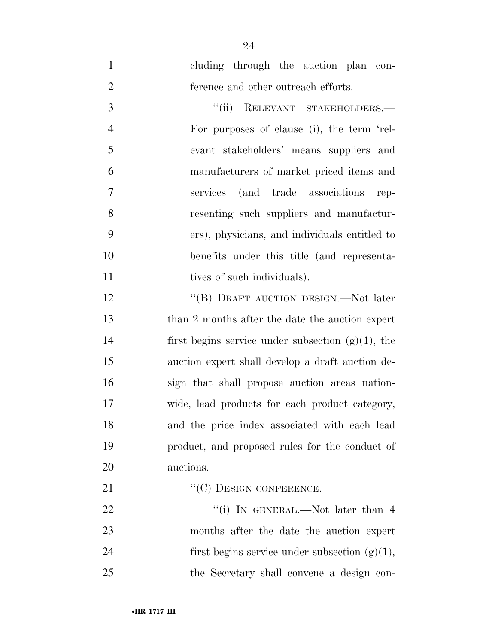cluding through the auction plan con-ference and other outreach efforts.

3 "(ii) RELEVANT STAKEHOLDERS.— For purposes of clause (i), the term 'rel- evant stakeholders' means suppliers and manufacturers of market priced items and services (and trade associations rep- resenting such suppliers and manufactur- ers), physicians, and individuals entitled to benefits under this title (and representa-11 tives of such individuals).

12 "(B) DRAFT AUCTION DESIGN.—Not later 13 than 2 months after the date the auction expert 14 first begins service under subsection  $(g)(1)$ , the auction expert shall develop a draft auction de- sign that shall propose auction areas nation- wide, lead products for each product category, and the price index associated with each lead product, and proposed rules for the conduct of auctions.

21 "'(C) DESIGN CONFERENCE.—

22 ''(i) In GENERAL.—Not later than 4 months after the date the auction expert 24 first begins service under subsection  $(g)(1)$ , the Secretary shall convene a design con-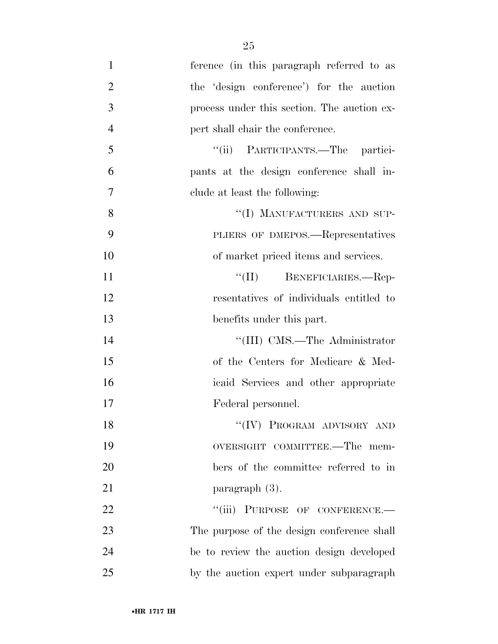| $\mathbf{1}$   | ference (in this paragraph referred to as   |
|----------------|---------------------------------------------|
| $\overline{2}$ | the 'design conference') for the auction    |
| 3              | process under this section. The auction ex- |
| $\overline{4}$ | pert shall chair the conference.            |
| 5              | "(ii) PARTICIPANTS.—The partici-            |
| 6              | pants at the design conference shall in-    |
| 7              | clude at least the following:               |
| 8              | "(I) MANUFACTURERS AND SUP-                 |
| 9              | PLIERS OF DMEPOS.—Representatives           |
| 10             | of market priced items and services.        |
| 11             | "(II) BENEFICIARIES.—Rep-                   |
| 12             | resentatives of individuals entitled to     |
| 13             | benefits under this part.                   |
| 14             | "(III) CMS.—The Administrator               |
| 15             | of the Centers for Medicare & Med-          |
| 16             | icaid Services and other appropriate        |
| 17             | Federal personnel.                          |
| 18             | "(IV) PROGRAM ADVISORY AND                  |
| 19             | OVERSIGHT COMMITTEE.—The mem-               |
| 20             | bers of the committee referred to in        |
| 21             | paragraph $(3)$ .                           |
| 22             | "(iii) PURPOSE OF CONFERENCE.-              |
| 23             | The purpose of the design conference shall  |
| 24             | be to review the auction design developed   |
| 25             | by the auction expert under subparagraph    |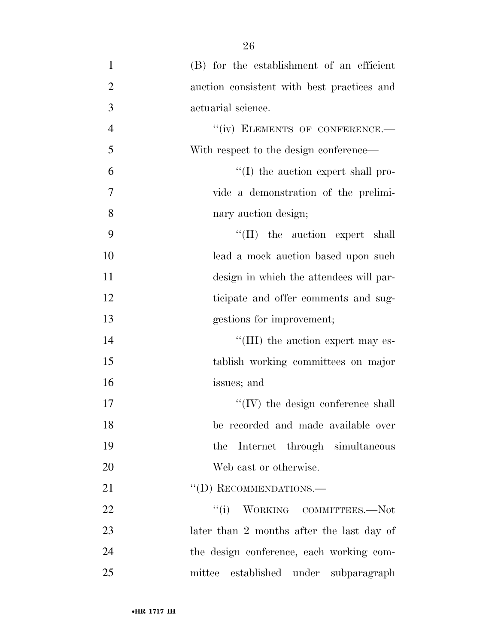(B) for the establishment of an efficient auction consistent with best practices and actuarial science. 4 "(iv) ELEMENTS OF CONFERENCE. With respect to the design conference—  $\mathfrak{g}$   $\mathfrak{g}$  (I) the auction expert shall pro- vide a demonstration of the prelimi- nary auction design;  $\frac{1}{1}$  the auction expert shall lead a mock auction based upon such design in which the attendees will par- ticipate and offer comments and sug- gestions for improvement;  $\text{``(III)}$  the auction expert may es- tablish working committees on major issues; and  $\text{``(IV)}$  the design conference shall be recorded and made available over the Internet through simultaneous Web cast or otherwise. 21 "(D) RECOMMENDATIONS.— 22 "(i) WORKING COMMITTEES.—Not 23 later than 2 months after the last day of the design conference, each working com-mittee established under subparagraph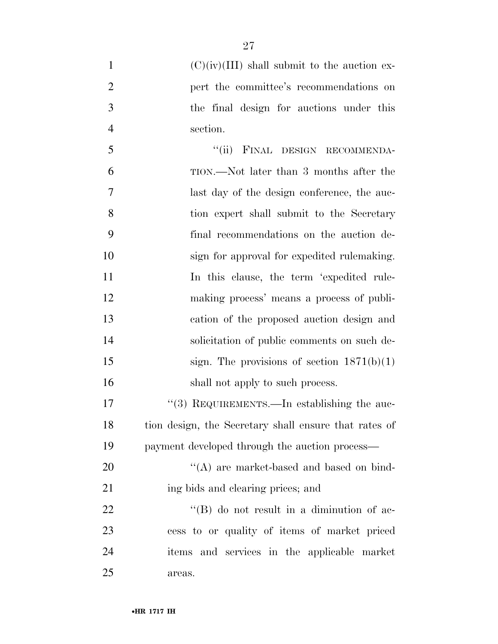$(C)(iv)(III)$  shall submit to the auction ex-**pert** the committee's recommendations on the final design for auctions under this section. 5 "(ii) FINAL DESIGN RECOMMENDA- TION.—Not later than 3 months after the last day of the design conference, the auc- tion expert shall submit to the Secretary final recommendations on the auction de- sign for approval for expedited rulemaking. 11 In this clause, the term 'expedited rule- making process' means a process of publi- cation of the proposed auction design and solicitation of public comments on such de-15 sign. The provisions of section  $1871(b)(1)$ 16 shall not apply to such process. 17 ''(3) REQUIREMENTS.—In establishing the auc- tion design, the Secretary shall ensure that rates of payment developed through the auction process— 20 ''(A) are market-based and based on bind-21 ing bids and clearing prices; and 22 ''(B) do not result in a diminution of ac- cess to or quality of items of market priced items and services in the applicable market areas.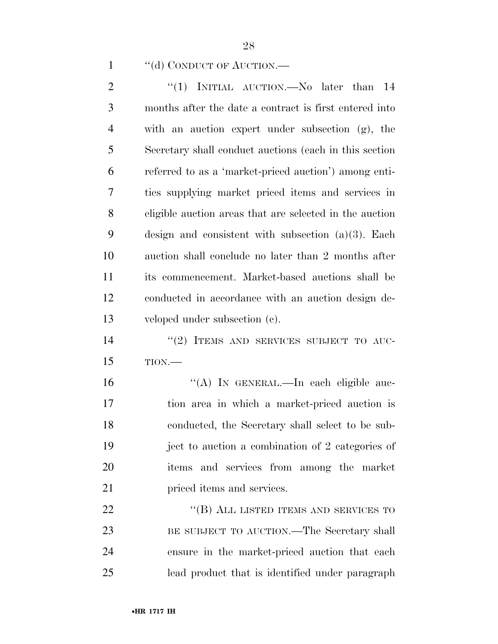### 1 "(d) CONDUCT OF AUCTION.—

2 "(1) INITIAL AUCTION.—No later than 14 months after the date a contract is first entered into with an auction expert under subsection (g), the Secretary shall conduct auctions (each in this section referred to as a 'market-priced auction') among enti- ties supplying market priced items and services in eligible auction areas that are selected in the auction design and consistent with subsection (a)(3). Each auction shall conclude no later than 2 months after its commencement. Market-based auctions shall be conducted in accordance with an auction design de- veloped under subsection (c). 14 "(2) ITEMS AND SERVICES SUBJECT TO AUC- TION.— ''(A) IN GENERAL.—In each eligible auc- tion area in which a market-priced auction is conducted, the Secretary shall select to be sub- ject to auction a combination of 2 categories of items and services from among the market

**priced items and services.** 

22 "(B) ALL LISTED ITEMS AND SERVICES TO BE SUBJECT TO AUCTION.—The Secretary shall ensure in the market-priced auction that each lead product that is identified under paragraph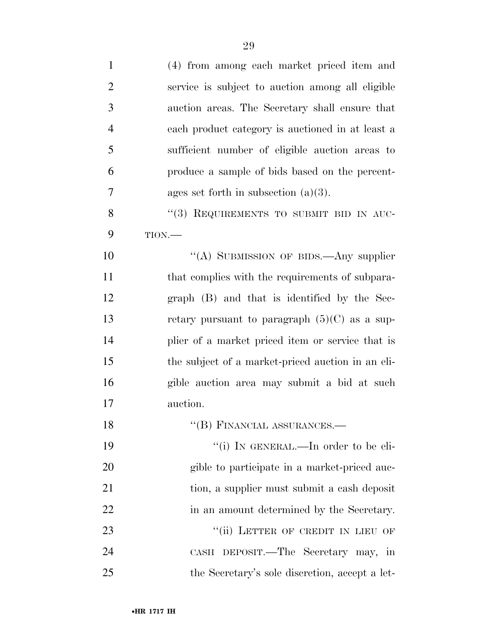| $\mathbf{1}$   | (4) from among each market priced item and        |
|----------------|---------------------------------------------------|
| $\overline{2}$ | service is subject to auction among all eligible  |
| 3              | auction areas. The Secretary shall ensure that    |
| $\overline{4}$ | each product category is auctioned in at least a  |
| 5              | sufficient number of eligible auction areas to    |
| 6              | produce a sample of bids based on the percent-    |
| 7              | ages set forth in subsection $(a)(3)$ .           |
| 8              | "(3) REQUIREMENTS TO SUBMIT BID IN AUC-           |
| 9              | TION.                                             |
| 10             | "(A) SUBMISSION OF BIDS.—Any supplier             |
| 11             | that complies with the requirements of subpara-   |
| 12             | graph (B) and that is identified by the Sec-      |
| 13             | retary pursuant to paragraph $(5)(C)$ as a sup-   |
| 14             | plier of a market priced item or service that is  |
| 15             | the subject of a market-priced auction in an eli- |
| 16             | gible auction area may submit a bid at such       |
| 17             | auction.                                          |
| 18             | $\lq$ <sup>"</sup> (B) FINANCIAL ASSURANCES.—     |
| 19             | "(i) IN GENERAL.—In order to be eli-              |
| 20             | gible to participate in a market-priced auc-      |
| 21             | tion, a supplier must submit a cash deposit       |
| 22             | in an amount determined by the Secretary.         |
| 23             | "(ii) LETTER OF CREDIT IN LIEU OF                 |
| 24             | CASH DEPOSIT.—The Secretary may, in               |
| 25             | the Secretary's sole discretion, accept a let-    |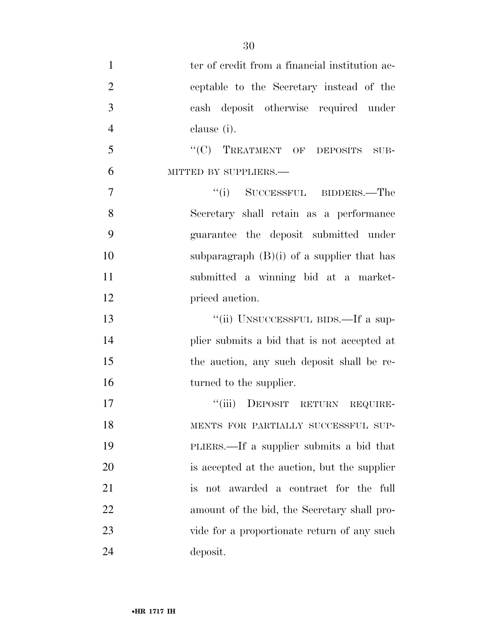| $\mathbf{1}$   | ter of credit from a financial institution ac- |
|----------------|------------------------------------------------|
| $\overline{2}$ | ceptable to the Secretary instead of the       |
| 3              | cash deposit otherwise required under          |
| $\overline{4}$ | clause (i).                                    |
| 5              | "(C) TREATMENT OF DEPOSITS SUB-                |
| 6              | MITTED BY SUPPLIERS.-                          |
| 7              | "(i) SUCCESSFUL BIDDERS.—The                   |
| 8              | Secretary shall retain as a performance        |
| 9              | guarantee the deposit submitted under          |
| 10             | subparagraph $(B)(i)$ of a supplier that has   |
| 11             | submitted a winning bid at a market-           |
| 12             | priced auction.                                |
| 13             | "(ii) UNSUCCESSFUL BIDS.—If a sup-             |
| 14             | plier submits a bid that is not accepted at    |
| 15             | the auction, any such deposit shall be re-     |
| 16             | turned to the supplier.                        |
| 17             | "(iii) DEPOSIT RETURN REQUIRE-                 |
| 18             | MENTS FOR PARTIALLY SUCCESSFUL SUP-            |
| 19             | PLIERS.—If a supplier submits a bid that       |
| 20             | is accepted at the auction, but the supplier   |
| 21             | is not awarded a contract for the full         |
| 22             | amount of the bid, the Secretary shall pro-    |
| 23             | vide for a proportionate return of any such    |
| 24             | deposit.                                       |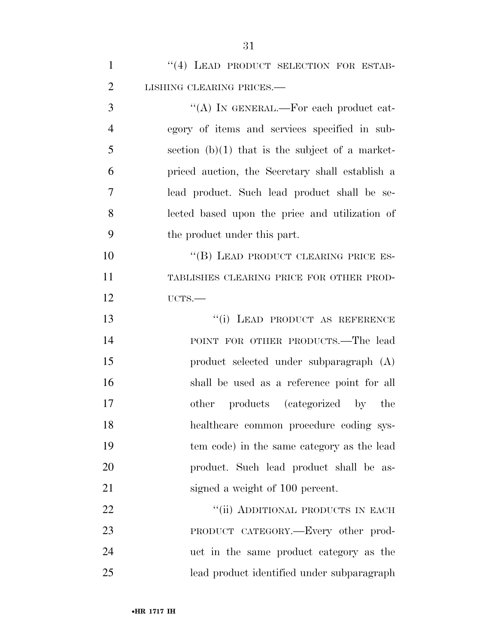| $\mathbf{1}$   | "(4) LEAD PRODUCT SELECTION FOR ESTAB-            |
|----------------|---------------------------------------------------|
| $\overline{2}$ | LISHING CLEARING PRICES.-                         |
| 3              | "(A) IN GENERAL.—For each product cat-            |
| $\overline{4}$ | egory of items and services specified in sub-     |
| 5              | section $(b)(1)$ that is the subject of a market- |
| 6              | priced auction, the Secretary shall establish a   |
| 7              | lead product. Such lead product shall be se-      |
| 8              | lected based upon the price and utilization of    |
| 9              | the product under this part.                      |
| 10             | "(B) LEAD PRODUCT CLEARING PRICE ES-              |
| 11             | TABLISHES CLEARING PRICE FOR OTHER PROD-          |
| 12             | UCTS.                                             |
| 13             | "(i) LEAD PRODUCT AS REFERENCE                    |
| 14             | POINT FOR OTHER PRODUCTS.—The lead                |
| 15             | product selected under subparagraph (A)           |
| 16             | shall be used as a reference point for all        |
| 17             | other products (categorized by the                |
| 18             | healthcare common procedure coding sys-           |
| 19             | tem code) in the same category as the lead        |
| 20             | product. Such lead product shall be as-           |
| 21             | signed a weight of 100 percent.                   |
| 22             | "(ii) ADDITIONAL PRODUCTS IN EACH                 |
| 23             | PRODUCT CATEGORY.—Every other prod-               |
| 24             | uct in the same product category as the           |
| 25             | lead product identified under subparagraph        |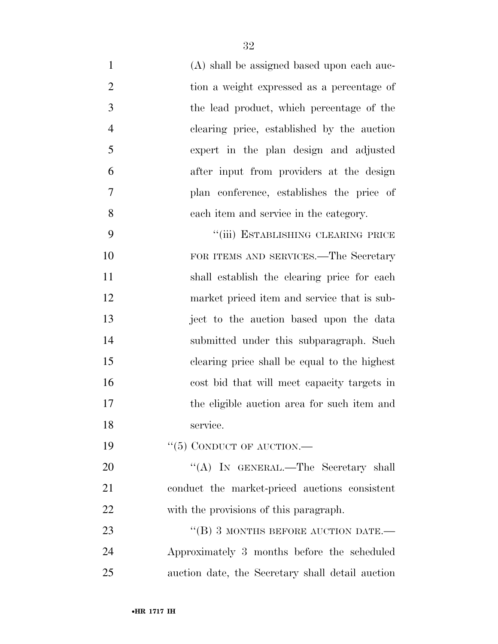- (A) shall be assigned based upon each auc- tion a weight expressed as a percentage of the lead product, which percentage of the clearing price, established by the auction expert in the plan design and adjusted
- after input from providers at the design plan conference, establishes the price of each item and service in the category.

9 "(iii) ESTABLISHING CLEARING PRICE 10 FOR ITEMS AND SERVICES.—The Secretary shall establish the clearing price for each market priced item and service that is sub- ject to the auction based upon the data submitted under this subparagraph. Such clearing price shall be equal to the highest cost bid that will meet capacity targets in the eligible auction area for such item and service.

19 "(5) CONDUCT OF AUCTION.—

20 "(A) In GENERAL.—The Secretary shall conduct the market-priced auctions consistent with the provisions of this paragraph.

23 "(B) 3 MONTHS BEFORE AUCTION DATE. Approximately 3 months before the scheduled auction date, the Secretary shall detail auction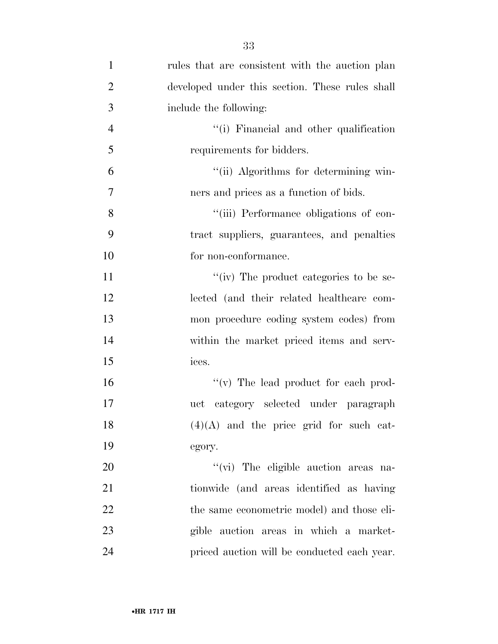| $\mathbf{1}$   | rules that are consistent with the auction plan |
|----------------|-------------------------------------------------|
| $\overline{2}$ | developed under this section. These rules shall |
| 3              | include the following:                          |
| $\overline{4}$ | "(i) Financial and other qualification          |
| 5              | requirements for bidders.                       |
| 6              | "(ii) Algorithms for determining win-           |
| 7              | ners and prices as a function of bids.          |
| 8              | "(iii) Performance obligations of con-          |
| 9              | tract suppliers, guarantees, and penalties      |
| 10             | for non-conformance.                            |
| 11             | "(iv) The product categories to be se-          |
| 12             | lected (and their related healthcare com-       |
| 13             | mon procedure coding system codes) from         |
| 14             | within the market priced items and serv-        |
| 15             | ices.                                           |
| 16             | "(v) The lead product for each prod-            |
| 17             | uct category selected under paragraph           |
| 18             | $(4)(A)$ and the price grid for such cat-       |
| 19             | egory.                                          |
| 20             | "(vi) The eligible auction areas na-            |
| 21             | tionwide (and areas identified as having        |
| 22             | the same econometric model) and those eli-      |
| 23             | gible auction areas in which a market-          |
| 24             | priced auction will be conducted each year.     |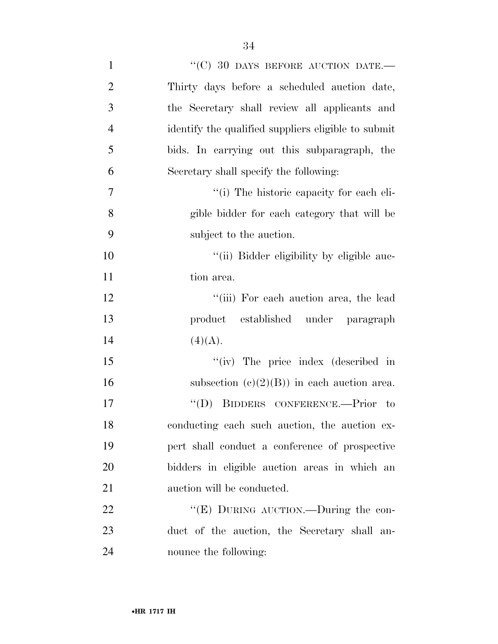| $\mathbf{1}$     | "(C) 30 DAYS BEFORE AUCTION DATE.-                  |
|------------------|-----------------------------------------------------|
| $\overline{2}$   | Thirty days before a scheduled auction date,        |
| 3                | the Secretary shall review all applicants and       |
| $\overline{4}$   | identify the qualified suppliers eligible to submit |
| 5                | bids. In carrying out this subparagraph, the        |
| 6                | Secretary shall specify the following:              |
| $\boldsymbol{7}$ | "(i) The historic capacity for each eli-            |
| 8                | gible bidder for each category that will be         |
| 9                | subject to the auction.                             |
| 10               | "(ii) Bidder eligibility by eligible auc-           |
| 11               | tion area.                                          |
| 12               | "(iii) For each auction area, the lead              |
| 13               | product established under paragraph                 |
| 14               | (4)(A).                                             |
| 15               | "(iv) The price index (described in                 |
| 16               | subsection $(c)(2)(B)$ in each auction area.        |
| 17               | "(D) BIDDERS CONFERENCE.—Prior to                   |
| 18               | conducting each such auction, the auction ex-       |
| 19               | pert shall conduct a conference of prospective      |
| 20               | bidders in eligible auction areas in which an       |
| 21               | auction will be conducted.                          |
| 22               | "(E) DURING AUCTION.—During the con-                |
| 23               | duct of the auction, the Secretary shall an-        |
| 24               | nounce the following:                               |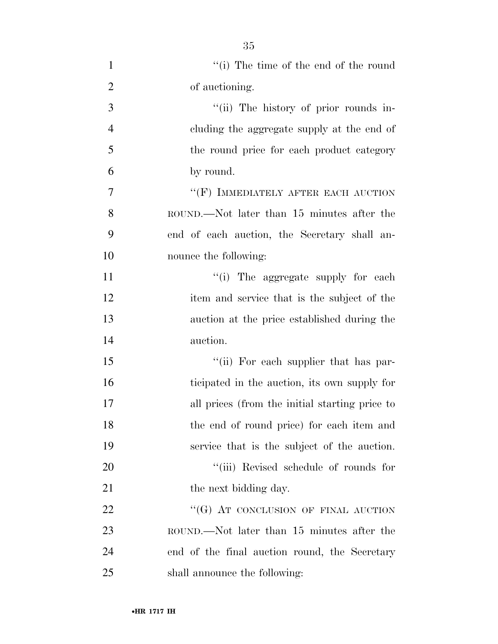| $\mathbf{1}$   | $f'(i)$ The time of the end of the round       |
|----------------|------------------------------------------------|
| $\overline{2}$ | of auctioning.                                 |
| 3              | "(ii) The history of prior rounds in-          |
| $\overline{4}$ | cluding the aggregate supply at the end of     |
| 5              | the round price for each product category      |
| 6              | by round.                                      |
| $\overline{7}$ | $\lq\lq (F)$ IMMEDIATELY AFTER EACH AUCTION    |
| 8              | ROUND.—Not later than 15 minutes after the     |
| 9              | end of each auction, the Secretary shall an-   |
| 10             | nounce the following:                          |
| 11             | "(i) The aggregate supply for each             |
| 12             | item and service that is the subject of the    |
| 13             | auction at the price established during the    |
| 14             | auction.                                       |
| 15             | "(ii) For each supplier that has par-          |
| 16             | ticipated in the auction, its own supply for   |
| 17             | all prices (from the initial starting price to |
| 18             | the end of round price) for each item and      |
| 19             | service that is the subject of the auction.    |
| 20             | "(iii) Revised schedule of rounds for          |
| 21             | the next bidding day.                          |
| 22             | "(G) AT CONCLUSION OF FINAL AUCTION            |
| 23             | ROUND.—Not later than 15 minutes after the     |
| 24             | end of the final auction round, the Secretary  |
| 25             | shall announce the following:                  |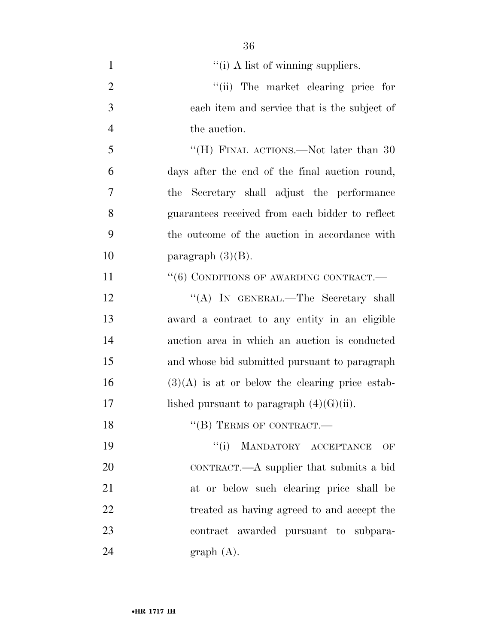| $\mathbf{1}$   | "(i) A list of winning suppliers.                 |
|----------------|---------------------------------------------------|
| $\overline{2}$ | "(ii) The market clearing price for               |
| 3              | each item and service that is the subject of      |
| $\overline{4}$ | the auction.                                      |
| 5              | "(H) FINAL ACTIONS.—Not later than 30             |
| 6              | days after the end of the final auction round,    |
| 7              | the Secretary shall adjust the performance        |
| 8              | guarantees received from each bidder to reflect   |
| 9              | the outcome of the auction in accordance with     |
| 10             | paragraph $(3)(B)$ .                              |
| 11             | $``(6)$ CONDITIONS OF AWARDING CONTRACT.—         |
| 12             | "(A) IN GENERAL.—The Secretary shall              |
| 13             | award a contract to any entity in an eligible     |
| 14             | auction area in which an auction is conducted     |
| 15             | and whose bid submitted pursuant to paragraph     |
| 16             | $(3)(A)$ is at or below the clearing price estab- |
| 17             | lished pursuant to paragraph $(4)(G)(ii)$ .       |
| 18             | "(B) TERMS OF CONTRACT.-                          |
| 19             | MANDATORY ACCEPTANCE<br>``(i)<br>OF               |
| 20             | CONTRACT.—A supplier that submits a bid           |
| 21             | at or below such clearing price shall be          |
| 22             | treated as having agreed to and accept the        |
| 23             | contract awarded pursuant to subpara-             |
|                |                                                   |

graph (A).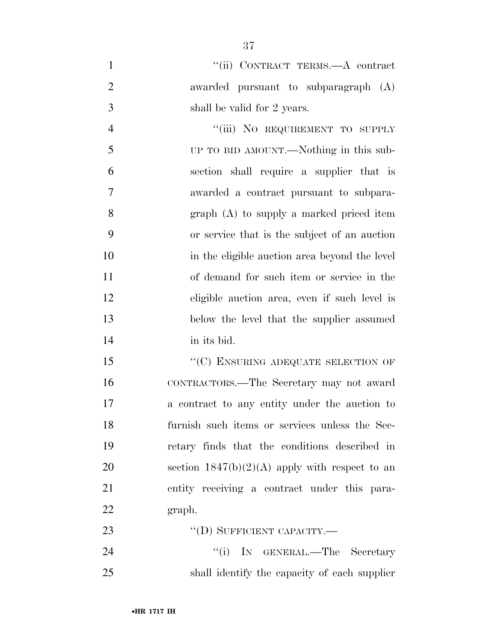1 "(ii) CONTRACT TERMS.—A contract awarded pursuant to subparagraph (A) shall be valid for 2 years.

4 "(iii) NO REQUIREMENT TO SUPPLY UP TO BID AMOUNT.—Nothing in this sub- section shall require a supplier that is awarded a contract pursuant to subpara- graph (A) to supply a marked priced item or service that is the subject of an auction in the eligible auction area beyond the level of demand for such item or service in the eligible auction area, even if such level is below the level that the supplier assumed in its bid.

15 "(C) ENSURING ADEQUATE SELECTION OF CONTRACTORS.—The Secretary may not award a contract to any entity under the auction to furnish such items or services unless the Sec- retary finds that the conditions described in 20 section  $1847(b)(2)(A)$  apply with respect to an entity receiving a contract under this para-graph.

23 "(D) SUFFICIENT CAPACITY.—

24 ''(i) IN GENERAL.—The Secretary shall identify the capacity of each supplier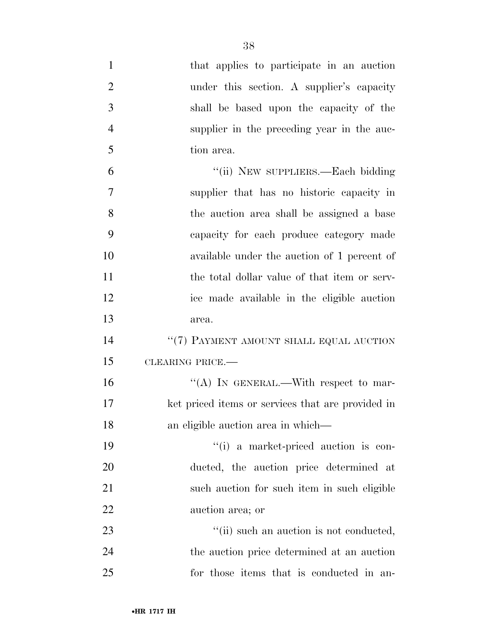| $\mathbf{1}$   | that applies to participate in an auction         |
|----------------|---------------------------------------------------|
| $\overline{2}$ | under this section. A supplier's capacity         |
| 3              | shall be based upon the capacity of the           |
| $\overline{4}$ | supplier in the preceding year in the auc-        |
| 5              | tion area.                                        |
| 6              | "(ii) NEW SUPPLIERS.—Each bidding                 |
| 7              | supplier that has no historic capacity in         |
| 8              | the auction area shall be assigned a base         |
| 9              | capacity for each produce category made           |
| 10             | available under the auction of 1 percent of       |
| 11             | the total dollar value of that item or serv-      |
| 12             | ice made available in the eligible auction        |
| 13             | area.                                             |
| 14             | "(7) PAYMENT AMOUNT SHALL EQUAL AUCTION           |
| 15             | CLEARING PRICE.                                   |
| 16             | "(A) IN GENERAL.—With respect to mar-             |
| 17             | ket priced items or services that are provided in |
| 18             | an eligible auction area in which—                |
| 19             | "(i) a market-priced auction is con-              |
| 20             | ducted, the auction price determined at           |
| 21             | such auction for such item in such eligible       |
| 22             | auction area; or                                  |
| 23             | "(ii) such an auction is not conducted,           |
| 24             | the auction price determined at an auction        |
| 25             | for those items that is conducted in an-          |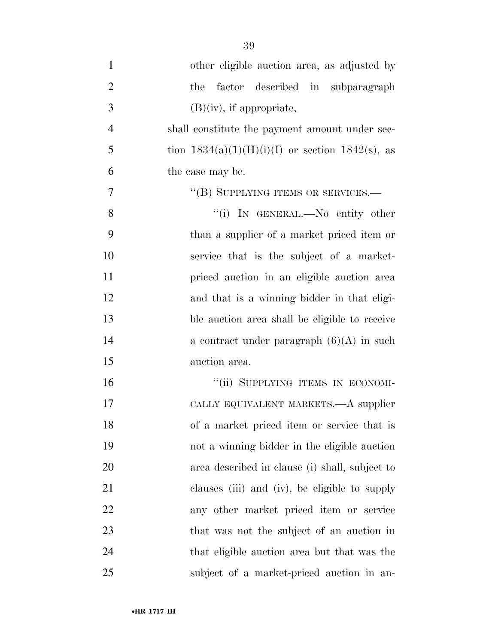| $\mathbf{1}$   | other eligible auction area, as adjusted by          |
|----------------|------------------------------------------------------|
| $\overline{2}$ | factor described in subparagraph<br>the              |
| 3              | $(B)(iv)$ , if appropriate,                          |
| $\overline{4}$ | shall constitute the payment amount under sec-       |
| 5              | tion $1834(a)(1)(H)(i)(I)$ or section $1842(s)$ , as |
| 6              | the case may be.                                     |
| 7              | "(B) SUPPLYING ITEMS OR SERVICES.—                   |
| 8              | "(i) IN GENERAL.—No entity other                     |
| 9              | than a supplier of a market priced item or           |
| 10             | service that is the subject of a market-             |
| 11             | priced auction in an eligible auction area           |
| 12             | and that is a winning bidder in that eligi-          |
| 13             | ble auction area shall be eligible to receive        |
| 14             | a contract under paragraph $(6)(A)$ in such          |
| 15             | auction area.                                        |
| 16             | "(ii) SUPPLYING ITEMS IN ECONOMI-                    |
| 17             | CALLY EQUIVALENT MARKETS.—A supplier                 |
| 18             | of a market priced item or service that is           |
| 19             | not a winning bidder in the eligible auction         |
| 20             | area described in clause (i) shall, subject to       |
| 21             | clauses (iii) and (iv), be eligible to supply        |
| 22             | any other market priced item or service              |
| 23             | that was not the subject of an auction in            |
| 24             | that eligible auction area but that was the          |
| 25             | subject of a market-priced auction in an-            |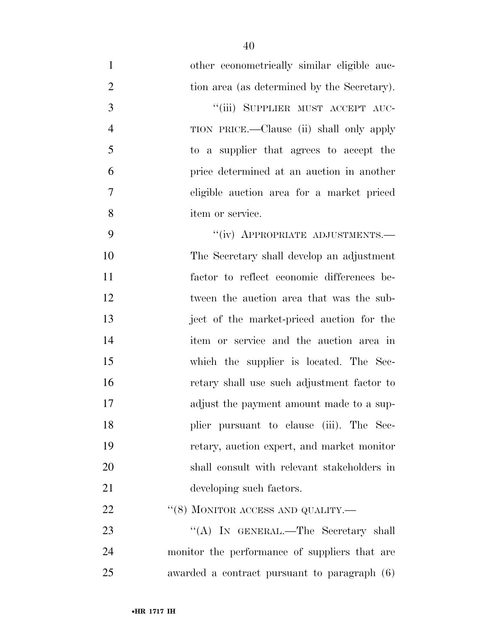| $\mathbf{1}$   | other econometrically similar eligible auc-   |
|----------------|-----------------------------------------------|
| $\overline{2}$ | tion area (as determined by the Secretary).   |
| 3              | "(iii) SUPPLIER MUST ACCEPT AUC-              |
| $\overline{4}$ | TION PRICE.—Clause (ii) shall only apply      |
| 5              | to a supplier that agrees to accept the       |
| 6              | price determined at an auction in another     |
| 7              | eligible auction area for a market priced     |
| 8              | item or service.                              |
| 9              | "(iv) APPROPRIATE ADJUSTMENTS.-               |
| 10             | The Secretary shall develop an adjustment     |
| 11             | factor to reflect economic differences be-    |
| 12             | tween the auction area that was the sub-      |
| 13             | ject of the market-priced auction for the     |
| 14             | item or service and the auction area in       |
| 15             | which the supplier is located. The Sec-       |
| 16             | retary shall use such adjustment factor to    |
| 17             | adjust the payment amount made to a sup-      |
| 18             | plier pursuant to clause (iii). The Sec-      |
| 19             | retary, auction expert, and market monitor    |
| 20             | shall consult with relevant stakeholders in   |
| 21             | developing such factors.                      |
| 22             | "(8) MONITOR ACCESS AND QUALITY.—             |
| 23             | "(A) IN GENERAL.—The Secretary shall          |
| 24             | monitor the performance of suppliers that are |
| 25             | awarded a contract pursuant to paragraph (6)  |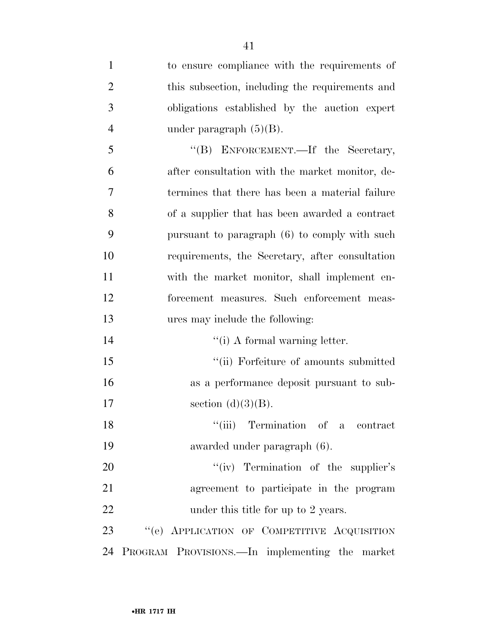| $\mathbf{1}$   | to ensure compliance with the requirements of     |
|----------------|---------------------------------------------------|
| $\overline{2}$ | this subsection, including the requirements and   |
| 3              | obligations established by the auction expert     |
| $\overline{4}$ | under paragraph $(5)(B)$ .                        |
| 5              | "(B) ENFORCEMENT.—If the Secretary,               |
| 6              | after consultation with the market monitor, de-   |
| $\overline{7}$ | termines that there has been a material failure   |
| 8              | of a supplier that has been awarded a contract    |
| 9              | pursuant to paragraph (6) to comply with such     |
| 10             | requirements, the Secretary, after consultation   |
| 11             | with the market monitor, shall implement en-      |
| 12             | forcement measures. Such enforcement meas-        |
|                |                                                   |
| 13             | ures may include the following:                   |
| 14             | "(i) A formal warning letter.                     |
| 15             | $\lq\lq$ (ii) For<br>feiture of amounts submitted |
| 16             | as a performance deposit pursuant to sub-         |
| 17             | section $(d)(3)(B)$ .                             |
| 18             | "(iii) Termination of a contract                  |
| 19             | awarded under paragraph (6).                      |
| 20             | "(iv) Termination of the supplier's               |
| 21             | agreement to participate in the program           |
| 22             | under this title for up to 2 years.               |
| 23             | "(e) APPLICATION OF COMPETITIVE ACQUISITION       |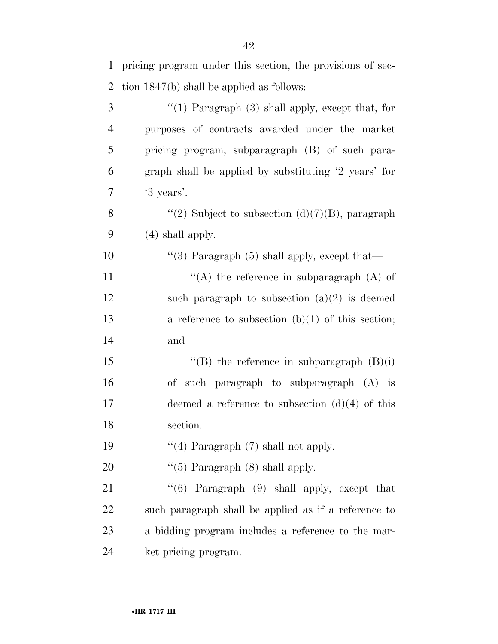| $\mathbf{1}$   | pricing program under this section, the provisions of sec- |
|----------------|------------------------------------------------------------|
| $\overline{2}$ | tion $1847(b)$ shall be applied as follows:                |
| 3              | " $(1)$ Paragraph $(3)$ shall apply, except that, for      |
| $\overline{4}$ | purposes of contracts awarded under the market             |
| 5              | pricing program, subparagraph (B) of such para-            |
| 6              | graph shall be applied by substituting '2 years' for       |
| 7              | '3 years'.                                                 |
| 8              | "(2) Subject to subsection (d) $(7)(B)$ , paragraph        |
| 9              | $(4)$ shall apply.                                         |
| 10             | "(3) Paragraph $(5)$ shall apply, except that—             |
| 11             | "(A) the reference in subparagraph $(A)$ of                |
| 12             | such paragraph to subsection $(a)(2)$ is deemed            |
| 13             | a reference to subsection $(b)(1)$ of this section;        |
| 14             | and                                                        |
| 15             | "(B) the reference in subparagraph $(B)(i)$                |
| 16             | of such paragraph to subparagraph (A) is                   |
| 17             | deemed a reference to subsection $(d)(4)$ of this          |
| 18             | section.                                                   |
| 19             | "(4) Paragraph $(7)$ shall not apply.                      |
| 20             | " $(5)$ Paragraph $(8)$ shall apply.                       |
| 21             | " $(6)$ Paragraph $(9)$ shall apply, except that           |
| 22             | such paragraph shall be applied as if a reference to       |
| 23             | a bidding program includes a reference to the mar-         |
| 24             | ket pricing program.                                       |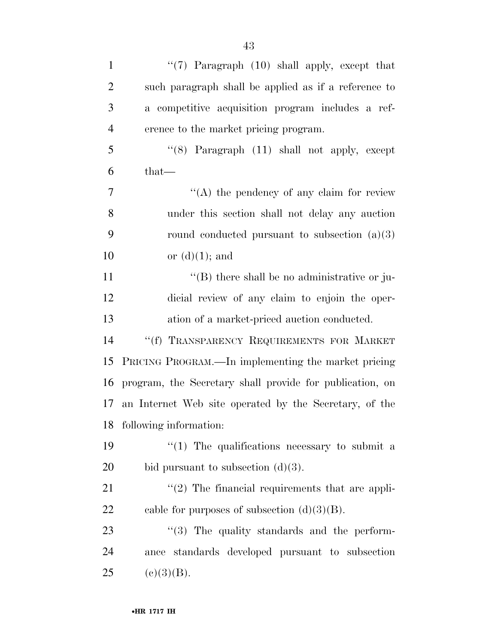| $\mathbf{1}$   | " $(7)$ Paragraph $(10)$ shall apply, except that        |
|----------------|----------------------------------------------------------|
| $\overline{2}$ | such paragraph shall be applied as if a reference to     |
| 3              | a competitive acquisition program includes a ref-        |
| $\overline{4}$ | erence to the market pricing program.                    |
| 5              | " $(8)$ Paragraph $(11)$ shall not apply, except         |
| 6              | that—                                                    |
| 7              | $\lq\lq$ the pendency of any claim for review            |
| 8              | under this section shall not delay any auction           |
| 9              | round conducted pursuant to subsection $(a)(3)$          |
| 10             | or $(d)(1)$ ; and                                        |
| 11             | $\lq\lq$ there shall be no administrative or ju-         |
| 12             | dicial review of any claim to enjoin the oper-           |
| 13             | ation of a market-priced auction conducted.              |
| 14             | "(f) TRANSPARENCY REQUIREMENTS FOR MARKET                |
| 15             | PRICING PROGRAM.—In implementing the market pricing      |
| 16             | program, the Secretary shall provide for publication, on |
| 17             | an Internet Web site operated by the Secretary, of the   |
|                | 18 following information:                                |
| 19             | $\lq(1)$ The qualifications necessary to submit a        |
| 20             | bid pursuant to subsection $(d)(3)$ .                    |
| 21             | $"(2)$ The financial requirements that are appli-        |
| 22             | cable for purposes of subsection $(d)(3)(B)$ .           |
| 23             | "(3) The quality standards and the perform-              |
| 24             | standards developed pursuant to subsection<br>ance       |
| 25             | (c)(3)(B).                                               |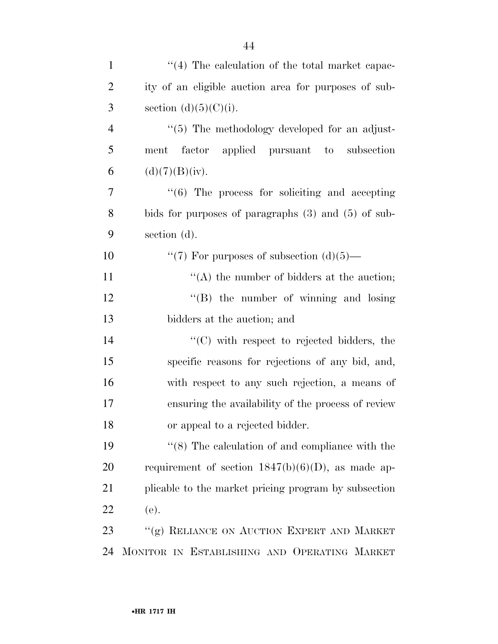| $\mathbf{1}$   | $\lq(4)$ The calculation of the total market capac-       |
|----------------|-----------------------------------------------------------|
| $\overline{2}$ | ity of an eligible auction area for purposes of sub-      |
| 3              | section $(d)(5)(C)(i)$ .                                  |
| $\overline{4}$ | $\lq(5)$ The methodology developed for an adjust-         |
| 5              | factor applied pursuant to subsection<br>ment             |
| 6              | (d)(7)(B)(iv).                                            |
| 7              | $\cdot\cdot$ (6) The process for soliciting and accepting |
| 8              | bids for purposes of paragraphs $(3)$ and $(5)$ of sub-   |
| 9              | section (d).                                              |
| 10             | "(7) For purposes of subsection $(d)(5)$ —                |
| 11             | "(A) the number of bidders at the auction;                |
| 12             | $\lq\lq$ (B) the number of winning and losing             |
| 13             | bidders at the auction; and                               |
| 14             | $\cdot$ (C) with respect to rejected bidders, the         |
| 15             | specific reasons for rejections of any bid, and,          |
| 16             | with respect to any such rejection, a means of            |
| 17             | ensuring the availability of the process of review        |
| 18             | or appeal to a rejected bidder.                           |
| 19             | $\lq(8)$ The calculation of and compliance with the       |
| 20             | requirement of section $1847(b)(6)(D)$ , as made ap-      |
| 21             | plicable to the market pricing program by subsection      |
| 22             | (e).                                                      |
| 23             | "(g) RELIANCE ON AUCTION EXPERT AND MARKET                |
| 24             | MONITOR IN ESTABLISHING AND OPERATING MARKET              |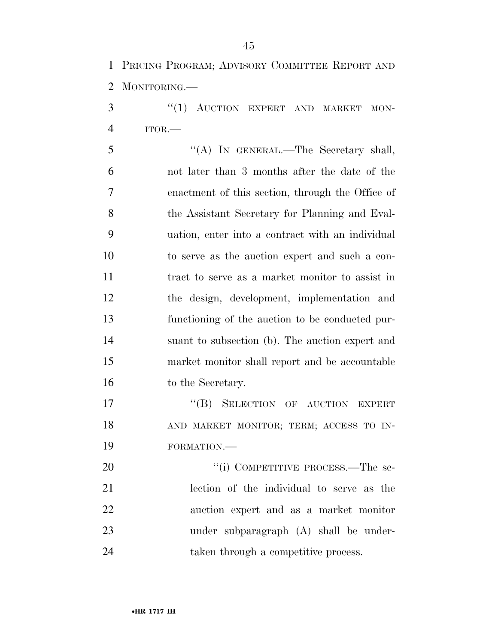PRICING PROGRAM; ADVISORY COMMITTEE REPORT AND MONITORING.—

3 "(1) AUCTION EXPERT AND MARKET MON-ITOR.—

 ''(A) IN GENERAL.—The Secretary shall, not later than 3 months after the date of the enactment of this section, through the Office of the Assistant Secretary for Planning and Eval- uation, enter into a contract with an individual to serve as the auction expert and such a con- tract to serve as a market monitor to assist in the design, development, implementation and functioning of the auction to be conducted pur- suant to subsection (b). The auction expert and market monitor shall report and be accountable 16 to the Secretary.

17 "(B) SELECTION OF AUCTION EXPERT 18 AND MARKET MONITOR; TERM; ACCESS TO IN-FORMATION.—

20 "(i) COMPETITIVE PROCESS.—The se- lection of the individual to serve as the auction expert and as a market monitor under subparagraph (A) shall be under-24 taken through a competitive process.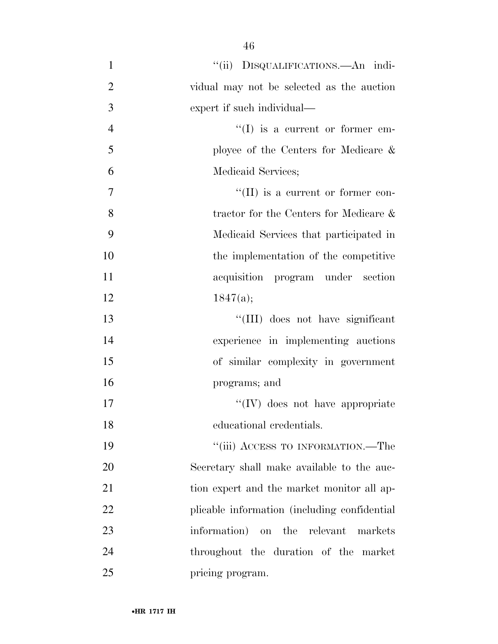1 ''(ii) DISQUALIFICATIONS.—An indi- vidual may not be selected as the auction expert if such individual—  $\text{``(I)}$  is a current or former em- ployee of the Centers for Medicare & Medicaid Services;  $\mathcal{T}$  ''(II) is a current or former con- tractor for the Centers for Medicare & Medicaid Services that participated in the implementation of the competitive acquisition program under section 12  $1847(a);$ 13 ''(III) does not have significant experience in implementing auctions of similar complexity in government programs; and  $\text{``(IV)}$  does not have appropriate educational credentials. 19 ''(iii) ACCESS TO INFORMATION.—The Secretary shall make available to the auc-21 tion expert and the market monitor all ap- plicable information (including confidential information) on the relevant markets throughout the duration of the market 25 pricing program.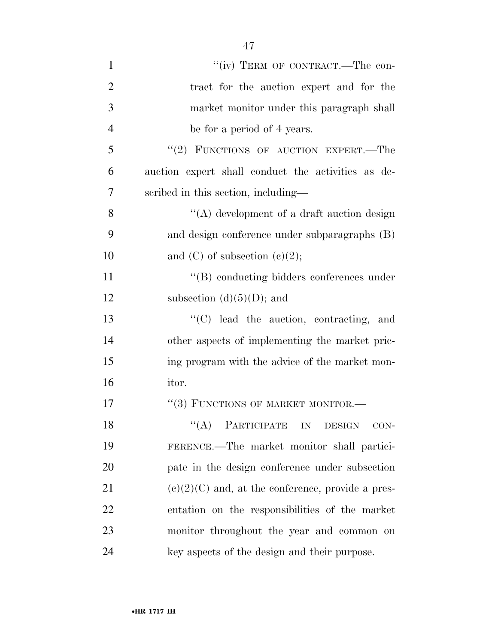| $\mathbf{1}$   | "(iv) TERM OF CONTRACT.—The con-                    |
|----------------|-----------------------------------------------------|
| $\overline{2}$ | tract for the auction expert and for the            |
| 3              | market monitor under this paragraph shall           |
| $\overline{4}$ | be for a period of 4 years.                         |
| 5              | "(2) FUNCTIONS OF AUCTION EXPERT.—The               |
| 6              | auction expert shall conduct the activities as de-  |
| 7              | scribed in this section, including—                 |
| 8              | $\lq\lq$ development of a draft auction design      |
| 9              | and design conference under subparagraphs (B)       |
| 10             | and $(C)$ of subsection $(e)(2)$ ;                  |
| 11             | $\lq\lq (B)$ conducting bidders conferences under   |
| 12             | subsection $(d)(5)(D)$ ; and                        |
| 13             | "(C) lead the auction, contracting, and             |
| 14             | other aspects of implementing the market pric-      |
| 15             | ing program with the advice of the market mon-      |
| 16             | itor.                                               |
| 17             | "(3) FUNCTIONS OF MARKET MONITOR.-                  |
| 18             | $``(A)$ PARTICIPATE IN<br><b>DESIGN</b><br>CON-     |
| 19             | FERENCE.—The market monitor shall partici-          |
| 20             | pate in the design conference under subsection      |
| 21             | $(e)(2)(C)$ and, at the conference, provide a pres- |
| 22             | entation on the responsibilities of the market      |
| 23             | monitor throughout the year and common on           |
| 24             | key aspects of the design and their purpose.        |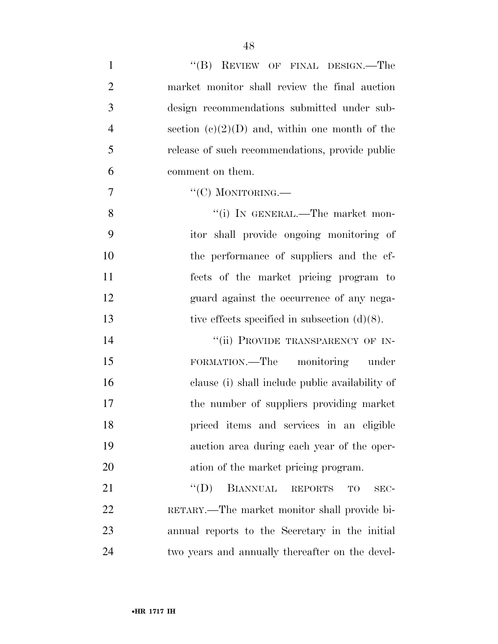| $\mathbf{1}$   | "(B) REVIEW OF FINAL DESIGN.—The                                |
|----------------|-----------------------------------------------------------------|
| $\overline{2}$ | market monitor shall review the final auction                   |
| 3              | design recommendations submitted under sub-                     |
| $\overline{4}$ | section $(c)(2)(D)$ and, within one month of the                |
| 5              | release of such recommendations, provide public                 |
| 6              | comment on them.                                                |
| $\tau$         | "(C) MONITORING.—                                               |
| 8              | "(i) IN GENERAL.—The market mon-                                |
| 9              | itor shall provide ongoing monitoring of                        |
| 10             | the performance of suppliers and the ef-                        |
| 11             | fects of the market pricing program to                          |
| 12             | guard against the occurrence of any nega-                       |
| 13             | tive effects specified in subsection $(d)(8)$ .                 |
| 14             | "(ii) PROVIDE TRANSPARENCY OF IN-                               |
| 15             | monitoring under<br>FORMATION.—The                              |
| 16             | clause (i) shall include public availability of                 |
| 17             | the number of suppliers providing market                        |
| 18             | priced items and services in an eligible                        |
| 19             | auction area during each year of the oper-                      |
| 20             | ation of the market pricing program.                            |
| 21             | $\lq\lq (D)$<br><b>BIANNUAL</b><br><b>REPORTS</b><br>TO<br>SEC- |
| 22             | RETARY.—The market monitor shall provide bi-                    |
| 23             | annual reports to the Secretary in the initial                  |
| 24             | two years and annually thereafter on the devel-                 |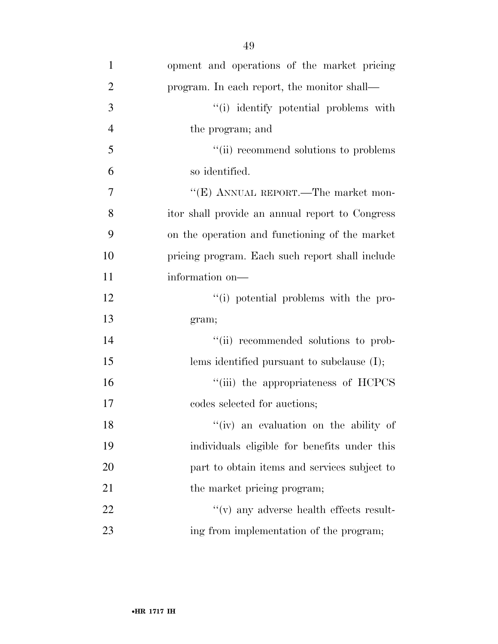| $\mathbf{1}$   | opment and operations of the market pricing     |
|----------------|-------------------------------------------------|
| $\overline{2}$ | program. In each report, the monitor shall—     |
| 3              | "(i) identify potential problems with           |
| $\overline{4}$ | the program; and                                |
| 5              | "(ii) recommend solutions to problems           |
| 6              | so identified.                                  |
| 7              | "(E) ANNUAL REPORT.—The market mon-             |
| 8              | itor shall provide an annual report to Congress |
| 9              | on the operation and functioning of the market  |
| 10             | pricing program. Each such report shall include |
| 11             | information on-                                 |
| 12             | "(i) potential problems with the pro-           |
| 13             | gram;                                           |
| 14             | "(ii) recommended solutions to prob-            |
| 15             | lems identified pursuant to subclause $(I);$    |
| 16             | "(iii) the appropriateness of HCPCS             |
| 17             | codes selected for auctions;                    |
| 18             | "(iv) an evaluation on the ability of           |
| 19             | individuals eligible for benefits under this    |
| 20             | part to obtain items and services subject to    |
| 21             | the market pricing program;                     |
| 22             | $f'(v)$ any adverse health effects result-      |
| 23             | ing from implementation of the program;         |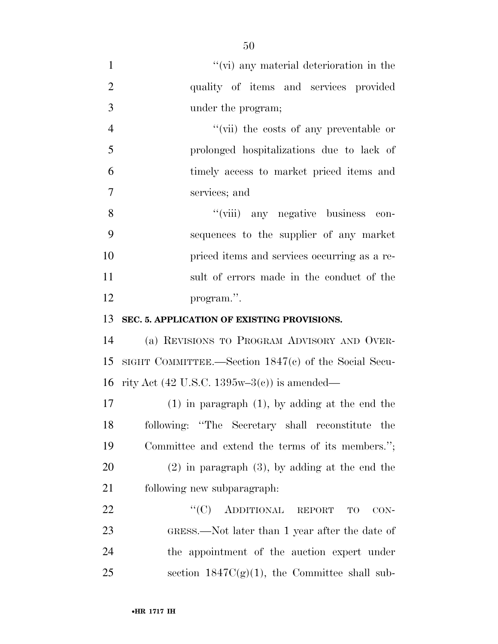| $\mathbf{1}$   | $\lq\lq$ (vi) any material deterioration in the                 |
|----------------|-----------------------------------------------------------------|
| $\overline{2}$ | quality of items and services provided                          |
| 3              | under the program;                                              |
| $\overline{4}$ | "(vii) the costs of any preventable or                          |
| 5              | prolonged hospitalizations due to lack of                       |
| 6              | timely access to market priced items and                        |
| 7              | services; and                                                   |
| 8              | "(viii) any negative business<br>con-                           |
| 9              | sequences to the supplier of any market                         |
| 10             | priced items and services occurring as a re-                    |
| 11             | sult of errors made in the conduct of the                       |
| 12             | program.".                                                      |
| 13             | SEC. 5. APPLICATION OF EXISTING PROVISIONS.                     |
| 14             | (a) REVISIONS TO PROGRAM ADVISORY AND OVER-                     |
| 15             | SIGHT COMMITTEE.—Section $1847(c)$ of the Social Secu-          |
| 16             | rity Act $(42 \text{ U.S.C. } 1395\text{w} - 3(c))$ is amended— |
| 17             | $(1)$ in paragraph $(1)$ , by adding at the end the             |
| 18             | following: "The Secretary shall reconstitute the                |
| 19             | Committee and extend the terms of its members.";                |
| 20             | $(2)$ in paragraph $(3)$ , by adding at the end the             |
| 21             | following new subparagraph.                                     |
| 22             | "(C) ADDITIONAL REPORT<br>TO<br>$CON-$                          |
| 23             | GRESS.—Not later than 1 year after the date of                  |
| 24             | the appointment of the auction expert under                     |
| 25             | section $1847C(g)(1)$ , the Committee shall sub-                |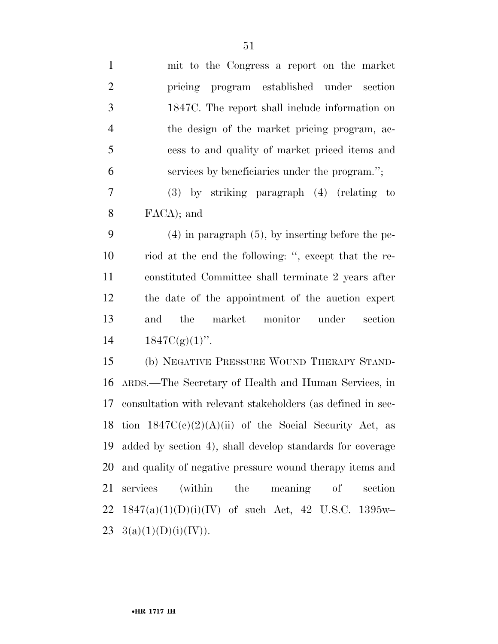| $\mathbf{1}$   | mit to the Congress a report on the market                  |
|----------------|-------------------------------------------------------------|
| $\overline{2}$ | pricing program established under<br>section                |
| 3              | 1847C. The report shall include information on              |
| $\overline{4}$ | the design of the market pricing program, ac-               |
| 5              | cess to and quality of market priced items and              |
| 6              | services by beneficiaries under the program.";              |
| 7              | $(3)$ by striking paragraph $(4)$ (relating to              |
| 8              | FACA); and                                                  |
| 9              | $(4)$ in paragraph $(5)$ , by inserting before the pe-      |
| 10             | riod at the end the following: ", except that the re-       |
| 11             | constituted Committee shall terminate 2 years after         |
| 12             | the date of the appointment of the auction expert           |
| 13             | market monitor under<br>the<br>section<br>and               |
| 14             | $1847C(g)(1)$ ".                                            |
| 15             | (b) NEGATIVE PRESSURE WOUND THERAPY STAND-                  |
| 16             | ARDS.—The Secretary of Health and Human Services, in        |
| 17             | consultation with relevant stakeholders (as defined in sec- |
|                | 18 tion $1847C(c)(2)(A)(ii)$ of the Social Security Act, as |
| 19             | added by section 4), shall develop standards for coverage   |
| 20             | and quality of negative pressure wound therapy items and    |
| 21             | (within the meaning of<br>services<br>section               |
| 22             | $1847(a)(1)(D)(i)(IV)$ of such Act, 42 U.S.C. 1395w-        |
| 23             | 3(a)(1)(D)(i)(IV)).                                         |